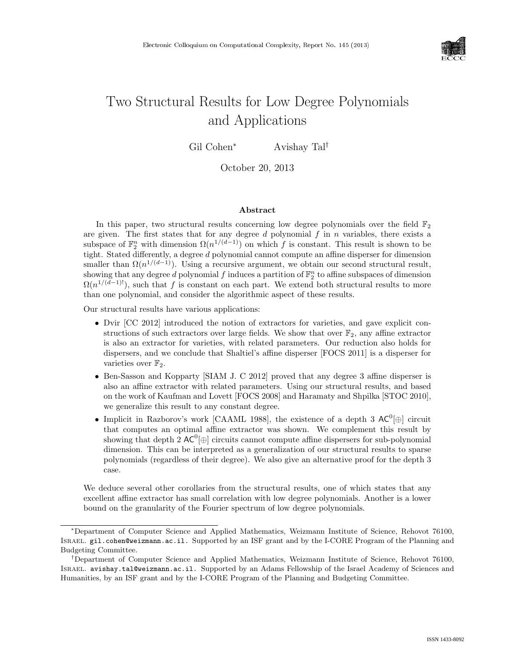

# Two Structural Results for Low Degree Polynomials and Applications

Gil Cohen<sup>∗</sup> Avishay Tal<sup>†</sup>

October 20, 2013

#### Abstract

In this paper, two structural results concerning low degree polynomials over the field  $\mathbb{F}_2$ are given. The first states that for any degree  $d$  polynomial  $f$  in  $n$  variables, there exists a subspace of  $\mathbb{F}_2^n$  with dimension  $\Omega(n^{1/(d-1)})$  on which f is constant. This result is shown to be tight. Stated differently, a degree  $d$  polynomial cannot compute an affine disperser for dimension smaller than  $\Omega(n^{1/(d-1)})$ . Using a recursive argument, we obtain our second structural result, showing that any degree d polynomial  $f$  induces a partition of  $\mathbb{F}_2^n$  to affine subspaces of dimension  $\Omega(n^{1/(d-1)!})$ , such that f is constant on each part. We extend both structural results to more than one polynomial, and consider the algorithmic aspect of these results.

Our structural results have various applications:

- Dvir [CC 2012] introduced the notion of extractors for varieties, and gave explicit constructions of such extractors over large fields. We show that over  $\mathbb{F}_2$ , any affine extractor is also an extractor for varieties, with related parameters. Our reduction also holds for dispersers, and we conclude that Shaltiel's affine disperser [FOCS 2011] is a disperser for varieties over  $\mathbb{F}_2$ .
- Ben-Sasson and Kopparty [SIAM J. C 2012] proved that any degree 3 affine disperser is also an affine extractor with related parameters. Using our structural results, and based on the work of Kaufman and Lovett [FOCS 2008] and Haramaty and Shpilka [STOC 2010], we generalize this result to any constant degree.
- Implicit in Razborov's work [CAAML 1988], the existence of a depth 3  $AC^0[\oplus]$  circuit that computes an optimal affine extractor was shown. We complement this result by showing that depth 2  $AC^0[\oplus]$  circuits cannot compute affine dispersers for sub-polynomial dimension. This can be interpreted as a generalization of our structural results to sparse polynomials (regardless of their degree). We also give an alternative proof for the depth 3 case.

We deduce several other corollaries from the structural results, one of which states that any excellent affine extractor has small correlation with low degree polynomials. Another is a lower bound on the granularity of the Fourier spectrum of low degree polynomials.

<sup>∗</sup>Department of Computer Science and Applied Mathematics, Weizmann Institute of Science, Rehovot 76100, Israel. gil.cohen@weizmann.ac.il. Supported by an ISF grant and by the I-CORE Program of the Planning and Budgeting Committee.

<sup>†</sup>Department of Computer Science and Applied Mathematics, Weizmann Institute of Science, Rehovot 76100, Israel. avishay.tal@weizmann.ac.il. Supported by an Adams Fellowship of the Israel Academy of Sciences and Humanities, by an ISF grant and by the I-CORE Program of the Planning and Budgeting Committee.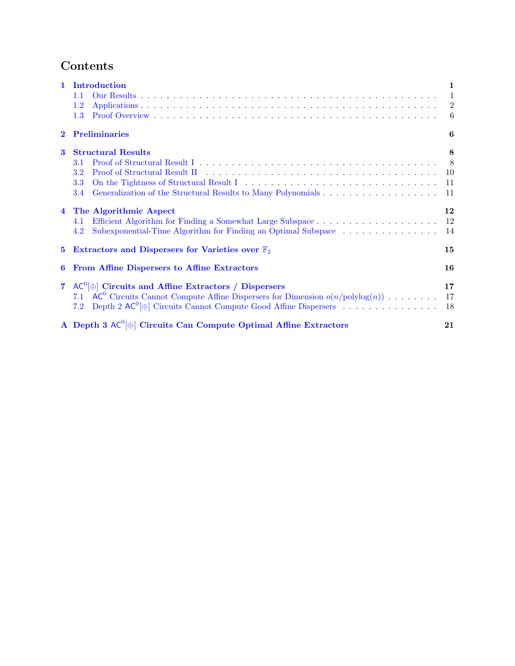# Contents

| $\mathbf{1}$   | Introduction                                                                                   | 1              |
|----------------|------------------------------------------------------------------------------------------------|----------------|
|                | 1.1                                                                                            | $\overline{1}$ |
|                | $1.2\,$                                                                                        | $\overline{2}$ |
|                | 1.3                                                                                            | -6             |
| $\mathbf{2}$   | <b>Preliminaries</b>                                                                           | 6              |
| 3              | <b>Structural Results</b>                                                                      | 8              |
|                | 3.1                                                                                            | - 8            |
|                | $3.2\,$                                                                                        | 10             |
|                | 3.3                                                                                            | 11             |
|                | 3.4                                                                                            | 11             |
| $\overline{4}$ | The Algorithmic Aspect                                                                         | 12             |
|                | 4.1                                                                                            | 12             |
|                | Subexponential-Time Algorithm for Finding an Optimal Subspace<br>4.2                           | 14             |
| $5^{\circ}$    | Extractors and Dispersers for Varieties over $\mathbb{F}_2$                                    | 15             |
| 6              | From Affine Dispersers to Affine Extractors                                                    | 16             |
|                | 7 $AC^0[\oplus]$ Circuits and Affine Extractors / Dispersers                                   | 17             |
|                | $AC^0$ Circuits Cannot Compute Affine Dispersers for Dimension $o(n/\text{polylog}(n))$<br>7.1 | 17             |
|                | Depth 2 $AC^0$ $\oplus$ Circuits Cannot Compute Good Affine Dispersers<br>7.2                  | 18             |
|                | A Depth 3 $AC^0[\oplus]$ Circuits Can Compute Optimal Affine Extractors                        | 21             |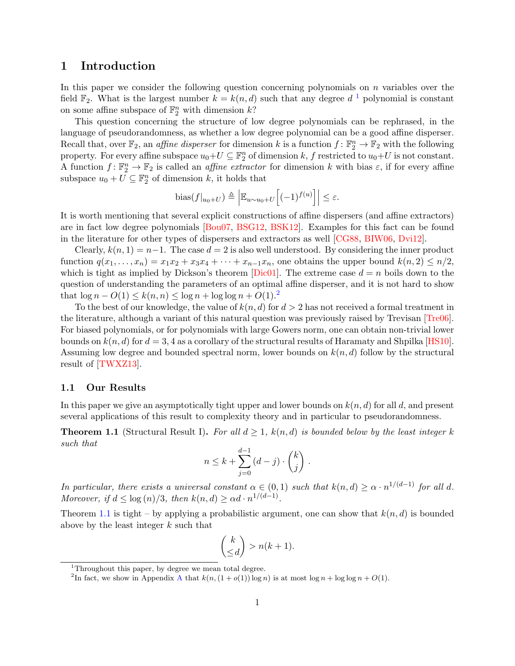## <span id="page-2-0"></span>1 Introduction

In this paper we consider the following question concerning polynomials on  $n$  variables over the field  $\mathbb{F}_2$ . What is the largest number  $k = k(n, d)$  such that any degree  $d^{-1}$  $d^{-1}$  $d^{-1}$  polynomial is constant on some affine subspace of  $\mathbb{F}_2^n$  with dimension  $k$ ?

This question concerning the structure of low degree polynomials can be rephrased, in the language of pseudorandomness, as whether a low degree polynomial can be a good affine disperser. Recall that, over  $\mathbb{F}_2$ , an *affine disperser* for dimension k is a function  $f: \mathbb{F}_2^n \to \mathbb{F}_2$  with the following property. For every affine subspace  $u_0+U \subseteq \mathbb{F}_2^n$  of dimension k, f restricted to  $u_0+U$  is not constant. A function  $f: \mathbb{F}_2^n \to \mathbb{F}_2$  is called an *affine extractor* for dimension k with bias  $\varepsilon$ , if for every affine subspace  $u_0 + U \subseteq \mathbb{F}_2^n$  of dimension k, it holds that

bias
$$
(f|_{u_0+U}) \triangleq \left| \mathbb{E}_{u \sim u_0+U} \left[ (-1)^{f(u)} \right] \right| \leq \varepsilon.
$$

It is worth mentioning that several explicit constructions of affine dispersers (and affine extractors) are in fact low degree polynomials [\[Bou07,](#page-20-0) [BSG12,](#page-20-1) [BSK12\]](#page-20-2). Examples for this fact can be found in the literature for other types of dispersers and extractors as well [\[CG88,](#page-20-3) [BIW06,](#page-20-4) [Dvi12\]](#page-21-0).

Clearly,  $k(n, 1) = n-1$ . The case  $d = 2$  is also well understood. By considering the inner product function  $q(x_1, \ldots, x_n) = x_1x_2 + x_3x_4 + \cdots + x_{n-1}x_n$ , one obtains the upper bound  $k(n, 2) \leq n/2$ , which is tight as implied by Dickson's theorem  $[\text{Dic}01]$ . The extreme case  $d = n$  boils down to the question of understanding the parameters of an optimal affine disperser, and it is not hard to show that  $\log n - O(1) \leq k(n, n) \leq \log n + \log \log n + O(1)^2$  $\log n - O(1) \leq k(n, n) \leq \log n + \log \log n + O(1)^2$ 

To the best of our knowledge, the value of  $k(n, d)$  for  $d > 2$  has not received a formal treatment in the literature, although a variant of this natural question was previously raised by Trevisan [\[Tre06\]](#page-21-2). For biased polynomials, or for polynomials with large Gowers norm, one can obtain non-trivial lower bounds on  $k(n, d)$  for  $d = 3, 4$  as a corollary of the structural results of Haramaty and Shpilka [\[HS10\]](#page-21-3). Assuming low degree and bounded spectral norm, lower bounds on  $k(n, d)$  follow by the structural result of [\[TWXZ13\]](#page-22-1).

#### <span id="page-2-1"></span>1.1 Our Results

In this paper we give an asymptotically tight upper and lower bounds on  $k(n, d)$  for all d, and present several applications of this result to complexity theory and in particular to pseudorandomness.

<span id="page-2-4"></span>**Theorem 1.1** (Structural Result I). For all  $d \geq 1$ ,  $k(n,d)$  is bounded below by the least integer k such that

$$
n \leq k + \sum_{j=0}^{d-1} (d-j) \cdot \binom{k}{j} .
$$

In particular, there exists a universal constant  $\alpha \in (0,1)$  such that  $k(n,d) \geq \alpha \cdot n^{1/(d-1)}$  for all d. Moreover, if  $d \leq \log(n)/3$ , then  $k(n,d) \geq \alpha d \cdot n^{1/(d-1)}$ .

Theorem [1.1](#page-2-4) is tight – by applying a probabilistic argument, one can show that  $k(n, d)$  is bounded above by the least integer k such that

$$
\binom{k}{\leq d} > n(k+1).
$$

<span id="page-2-2"></span><sup>1</sup>Throughout this paper, by degree we mean total degree.

<span id="page-2-3"></span><sup>&</sup>lt;sup>2</sup>In fact, we show in [A](#page-22-0)ppendix A that  $k(n,(1+o(1))\log n)$  is at most  $\log n + \log \log n + O(1)$ .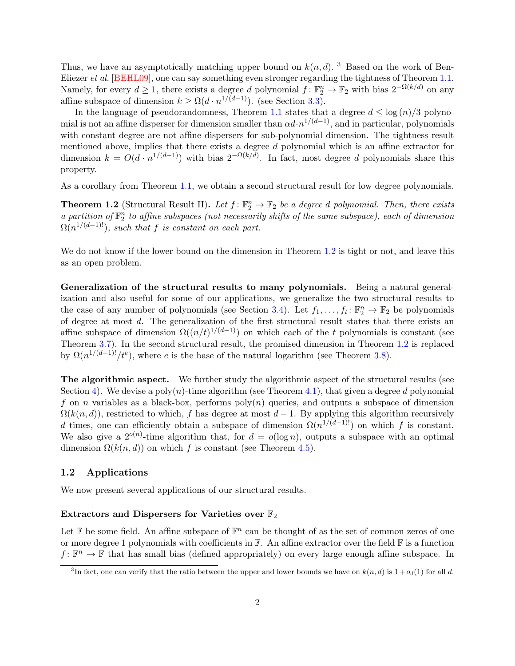Thus, we have an asymptotically matching upper bound on  $k(n, d)$ . <sup>[3](#page-3-1)</sup> Based on the work of Ben-Eliezer *et al.* [\[BEHL09\]](#page-20-5), one can say something even stronger regarding the tightness of Theorem [1.1.](#page-2-4) Namely, for every  $d \geq 1$ , there exists a degree d polynomial  $f: \mathbb{F}_2^n \to \mathbb{F}_2$  with bias  $2^{-\Omega(k/d)}$  on any affine subspace of dimension  $k \geq \Omega(d \cdot n^{1/(d-1)})$ . (see Section [3.3\)](#page-12-0).

In the language of pseudorandomness, Theorem [1.1](#page-2-4) states that a degree  $d < \log(n)/3$  polynomial is not an affine disperser for dimension smaller than  $\alpha d \cdot n^{1/(d-1)}$ , and in particular, polynomials with constant degree are not affine dispersers for sub-polynomial dimension. The tightness result mentioned above, implies that there exists a degree d polynomial which is an affine extractor for dimension  $k = O(d \cdot n^{1/(d-1)})$  with bias  $2^{-\Omega(k/d)}$ . In fact, most degree d polynomials share this property.

As a corollary from Theorem [1.1,](#page-2-4) we obtain a second structural result for low degree polynomials.

<span id="page-3-2"></span>**Theorem 1.2** (Structural Result II). Let  $f: \mathbb{F}_2^n \to \mathbb{F}_2$  be a degree d polynomial. Then, there exists a partition of  $\mathbb{F}_2^n$  to affine subspaces (not necessarily shifts of the same subspace), each of dimension  $\Omega(n^{1/(d-1)!})$ , such that f is constant on each part.

We do not know if the lower bound on the dimension in Theorem [1.2](#page-3-2) is tight or not, and leave this as an open problem.

Generalization of the structural results to many polynomials. Being a natural generalization and also useful for some of our applications, we generalize the two structural results to the case of any number of polynomials (see Section [3.4\)](#page-12-1). Let  $f_1, \ldots, f_t \colon \mathbb{F}_2^n \to \mathbb{F}_2$  be polynomials of degree at most d. The generalization of the first structural result states that there exists an affine subspace of dimension  $\Omega((n/t)^{1/(d-1)})$  on which each of the t polynomials is constant (see Theorem [3.7\)](#page-12-2). In the second structural result, the promised dimension in Theorem [1.2](#page-3-2) is replaced by  $\Omega(n^{1/(d-1)!}/t^e)$ , where e is the base of the natural logarithm (see Theorem [3.8\)](#page-13-2).

The algorithmic aspect. We further study the algorithmic aspect of the structural results (see Section [4\)](#page-13-0). We devise a poly $(n)$ -time algorithm (see Theorem [4.1\)](#page-13-3), that given a degree d polynomial f on n variables as a black-box, performs  $poly(n)$  queries, and outputs a subspace of dimension  $\Omega(k(n, d))$ , restricted to which, f has degree at most d – 1. By applying this algorithm recursively d times, one can efficiently obtain a subspace of dimension  $\Omega(n^{1/(d-1)!)}$  on which f is constant. We also give a  $2^{o(n)}$ -time algorithm that, for  $d = o(\log n)$ , outputs a subspace with an optimal dimension  $\Omega(k(n, d))$  on which f is constant (see Theorem [4.5\)](#page-15-1).

#### <span id="page-3-0"></span>1.2 Applications

We now present several applications of our structural results.

#### Extractors and Dispersers for Varieties over  $\mathbb{F}_2$

Let  $\mathbb F$  be some field. An affine subspace of  $\mathbb F^n$  can be thought of as the set of common zeros of one or more degree 1 polynomials with coefficients in  $\mathbb{F}$ . An affine extractor over the field  $\mathbb{F}$  is a function  $f: \mathbb{F}^n \to \mathbb{F}$  that has small bias (defined appropriately) on every large enough affine subspace. In

<span id="page-3-1"></span><sup>&</sup>lt;sup>3</sup>In fact, one can verify that the ratio between the upper and lower bounds we have on  $k(n, d)$  is  $1 + o_d(1)$  for all d.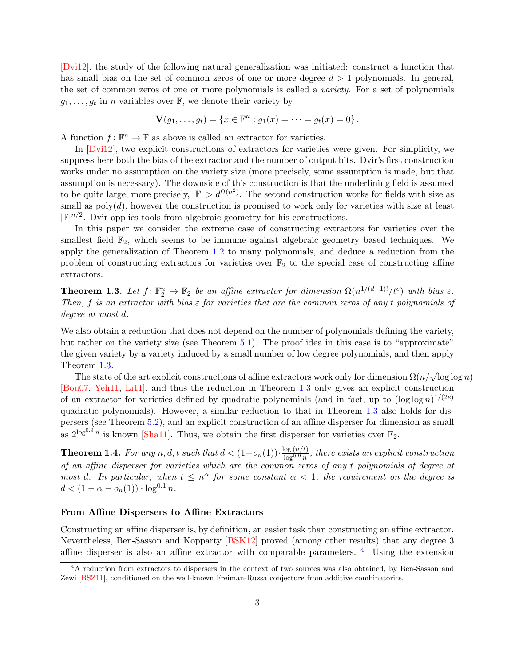[\[Dvi12\]](#page-21-0), the study of the following natural generalization was initiated: construct a function that has small bias on the set of common zeros of one or more degree  $d > 1$  polynomials. In general, the set of common zeros of one or more polynomials is called a variety. For a set of polynomials  $g_1, \ldots, g_t$  in *n* variables over  $\mathbb{F}$ , we denote their variety by

$$
\mathbf{V}(g_1,\ldots,g_t) = \{x \in \mathbb{F}^n : g_1(x) = \cdots = g_t(x) = 0\}.
$$

A function  $f: \mathbb{F}^n \to \mathbb{F}$  as above is called an extractor for varieties.

In [\[Dvi12\]](#page-21-0), two explicit constructions of extractors for varieties were given. For simplicity, we suppress here both the bias of the extractor and the number of output bits. Dvir's first construction works under no assumption on the variety size (more precisely, some assumption is made, but that assumption is necessary). The downside of this construction is that the underlining field is assumed to be quite large, more precisely,  $|\mathbb{F}| > d^{\Omega(n^2)}$ . The second construction works for fields with size as small as  $poly(d)$ , however the construction is promised to work only for varieties with size at least  $|\mathbb{F}|^{n/2}$ . Dvir applies tools from algebraic geometry for his constructions.

In this paper we consider the extreme case of constructing extractors for varieties over the smallest field  $\mathbb{F}_2$ , which seems to be immune against algebraic geometry based techniques. We apply the generalization of Theorem [1.2](#page-3-2) to many polynomials, and deduce a reduction from the problem of constructing extractors for varieties over  $\mathbb{F}_2$  to the special case of constructing affine extractors.

<span id="page-4-0"></span>**Theorem 1.3.** Let  $f: \mathbb{F}_2^n \to \mathbb{F}_2$  be an affine extractor for dimension  $\Omega(n^{1/(d-1)!}/t^e)$  with bias  $\varepsilon$ . Then, f is an extractor with bias  $\varepsilon$  for varieties that are the common zeros of any t polynomials of degree at most d.

We also obtain a reduction that does not depend on the number of polynomials defining the variety, but rather on the variety size (see Theorem [5.1\)](#page-16-1). The proof idea in this case is to "approximate" the given variety by a variety induced by a small number of low degree polynomials, and then apply Theorem [1.3.](#page-4-0)

The state of the art explicit constructions of affine extractors work only for dimension  $\Omega(n/\sqrt{\log\log n})$ [\[Bou07,](#page-20-0) [Yeh11,](#page-22-2) [Li11\]](#page-21-4), and thus the reduction in Theorem [1.3](#page-4-0) only gives an explicit construction of an extractor for varieties defined by quadratic polynomials (and in fact, up to  $(\log \log n)^{1/(2e)}$ quadratic polynomials). However, a similar reduction to that in Theorem [1.3](#page-4-0) also holds for dispersers (see Theorem [5.2\)](#page-17-1), and an explicit construction of an affine disperser for dimension as small as  $2^{\log^{0.9} n}$  is known [\[Sha11\]](#page-21-5). Thus, we obtain the first disperser for varieties over  $\mathbb{F}_2$ .

<span id="page-4-2"></span>**Theorem 1.4.** For any n, d, t such that  $d < (1 - o_n(1)) \cdot \frac{\log(n/t)}{\log^{0.9} n}$  $\frac{\log(n/\ell)}{\log^{0.9} n}$ , there exists an explicit construction of an affine disperser for varieties which are the common zeros of any t polynomials of degree at most d. In particular, when  $t \leq n^{\alpha}$  for some constant  $\alpha < 1$ , the requirement on the degree is  $d < (1 - \alpha - o_n(1)) \cdot \log^{0.1} n$ .

#### From Affine Dispersers to Affine Extractors

Constructing an affine disperser is, by definition, an easier task than constructing an affine extractor. Nevertheless, Ben-Sasson and Kopparty [\[BSK12\]](#page-20-2) proved (among other results) that any degree 3 affine disperser is also an affine extractor with comparable parameters.  $\frac{4}{1}$  $\frac{4}{1}$  $\frac{4}{1}$  Using the extension

<span id="page-4-1"></span><sup>&</sup>lt;sup>4</sup>A reduction from extractors to dispersers in the context of two sources was also obtained, by Ben-Sasson and Zewi [\[BSZ11\]](#page-20-6), conditioned on the well-known Freiman-Ruzsa conjecture from additive combinatorics.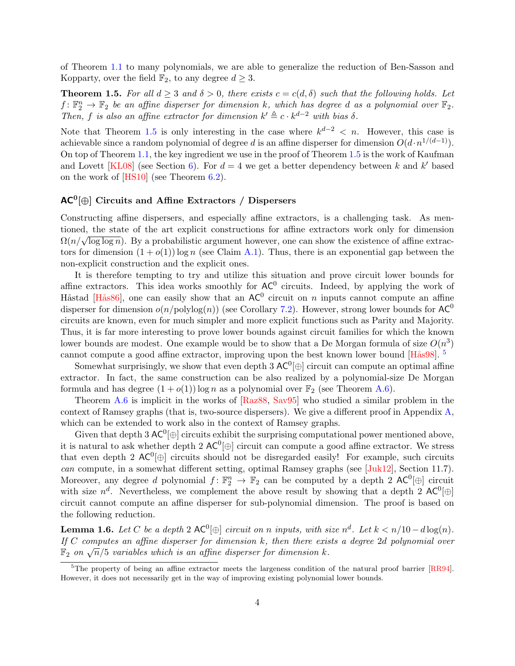of Theorem [1.1](#page-2-4) to many polynomials, we are able to generalize the reduction of Ben-Sasson and Kopparty, over the field  $\mathbb{F}_2$ , to any degree  $d \geq 3$ .

<span id="page-5-0"></span>**Theorem 1.5.** For all  $d \geq 3$  and  $\delta > 0$ , there exists  $c = c(d, \delta)$  such that the following holds. Let  $f: \mathbb{F}_2^n \to \mathbb{F}_2$  be an affine disperser for dimension k, which has degree d as a polynomial over  $\mathbb{F}_2$ . Then, f is also an affine extractor for dimension  $k' \triangleq c \cdot k^{d-2}$  with bias  $\delta$ .

Note that Theorem [1.5](#page-5-0) is only interesting in the case where  $k^{d-2} < n$ . However, this case is achievable since a random polynomial of degree d is an affine disperser for dimension  $O(d \cdot n^{1/(d-1)})$ . On top of Theorem [1.1,](#page-2-4) the key ingredient we use in the proof of Theorem [1.5](#page-5-0) is the work of Kaufman and Lovett [\[KL08\]](#page-21-6) (see Section [6\)](#page-17-0). For  $d = 4$  we get a better dependency between k and k' based on the work of [\[HS10\]](#page-21-3) (see Theorem [6.2\)](#page-18-2).

## $AC^0[\oplus]$  Circuits and Affine Extractors / Dispersers

Constructing affine dispersers, and especially affine extractors, is a challenging task. As mentioned, the state of the art explicit constructions for affine extractors work only for dimension colled, the state of the art explicit constructions for all the extractors work only for dimension  $\Omega(n/\sqrt{\log \log n})$ . By a probabilistic argument however, one can show the existence of affine extractors for dimension  $(1 + o(1)) \log n$  (see Claim [A.1\)](#page-22-3). Thus, there is an exponential gap between the non-explicit construction and the explicit ones.

It is therefore tempting to try and utilize this situation and prove circuit lower bounds for affine extractors. This idea works smoothly for  $AC^0$  circuits. Indeed, by applying the work of Håstad [Hås86], one can easily show that an  $AC^0$  circuit on n inputs cannot compute an affine disperser for dimension  $o(n/\text{polylog}(n))$  (see Corollary [7.2\)](#page-19-1). However, strong lower bounds for  $AC^0$ circuits are known, even for much simpler and more explicit functions such as Parity and Majority. Thus, it is far more interesting to prove lower bounds against circuit families for which the known lower bounds are modest. One example would be to show that a De Morgan formula of size  $O(n^3)$ cannot compute a good affine extractor, improving upon the best known lower bound  $[Hås98]$ .<sup>[5](#page-5-1)</sup>

Somewhat surprisingly, we show that even depth 3  $AC^0[\oplus]$  circuit can compute an optimal affine extractor. In fact, the same construction can be also realized by a polynomial-size De Morgan formula and has degree  $(1 + o(1)) \log n$  as a polynomial over  $\mathbb{F}_2$  (see Theorem [A.6\)](#page-23-0).

Theorem [A.6](#page-23-0) is implicit in the works of [\[Raz88,](#page-21-9) [Sav95\]](#page-21-10) who studied a similar problem in the context of Ramsey graphs (that is, two-source dispersers). We give a different proof in Appendix [A,](#page-22-0) which can be extended to work also in the context of Ramsey graphs.

Given that depth 3  $AC^0[\oplus]$  circuits exhibit the surprising computational power mentioned above, it is natural to ask whether depth 2  $AC^0[\oplus]$  circuit can compute a good affine extractor. We stress that even depth 2  $AC^0[\oplus]$  circuits should not be disregarded easily! For example, such circuits can compute, in a somewhat different setting, optimal Ramsey graphs (see [\[Juk12\]](#page-21-11), Section 11.7). Moreover, any degree d polynomial  $f: \mathbb{F}_2^n \to \mathbb{F}_2$  can be computed by a depth 2 AC<sup>0</sup> $[\oplus]$  circuit with size  $n^d$ . Nevertheless, we complement the above result by showing that a depth 2 AC<sup>0</sup> $[\oplus]$ circuit cannot compute an affine disperser for sub-polynomial dimension. The proof is based on the following reduction.

<span id="page-5-2"></span>**Lemma 1.6.** Let C be a depth 2  $AC^0[\oplus]$  circuit on n inputs, with size  $n^d$ . Let  $k < n/10 - d \log(n)$ . If  $C$  computes an affine disperser for dimension  $k$ , then there exists a degree 2d polynomial over  $\mathbb{F}_2$  on  $\sqrt{n}/5$  variables which is an affine disperser for dimension k.<br> $\mathbb{F}_2$  on  $\sqrt{n}/5$  variables which is an affine disperser for dimension k.

<span id="page-5-1"></span> $5$ The property of being an affine extractor meets the largeness condition of the natural proof barrier [\[RR94\]](#page-21-12). However, it does not necessarily get in the way of improving existing polynomial lower bounds.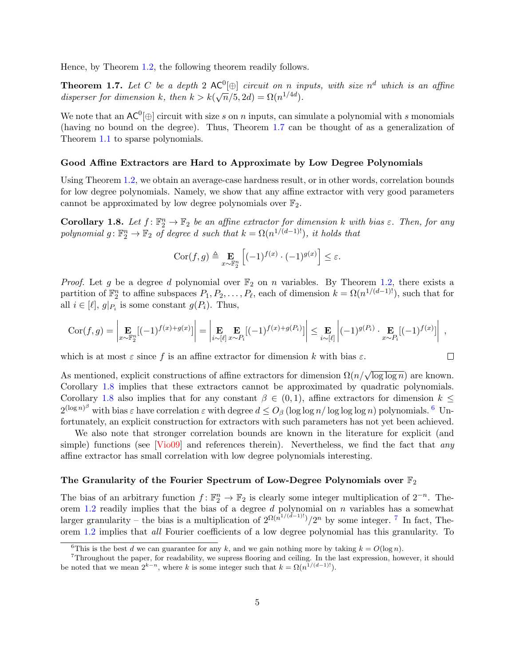Hence, by Theorem [1.2,](#page-3-2) the following theorem readily follows.

<span id="page-6-0"></span>**Theorem 1.7.** Let C be a depth 2  $AC^0[\oplus]$  circuit on n inputs, with size  $n^d$  which is an affine disperser for dimension k, then  $k > k(\sqrt{n}/5, 2d) = \Omega(n^{1/4d})$ .

We note that an  $AC^0[\oplus]$  circuit with size s on n inputs, can simulate a polynomial with s monomials (having no bound on the degree). Thus, Theorem [1.7](#page-6-0) can be thought of as a generalization of Theorem [1.1](#page-2-4) to sparse polynomials.

#### Good Affine Extractors are Hard to Approximate by Low Degree Polynomials

Using Theorem [1.2,](#page-3-2) we obtain an average-case hardness result, or in other words, correlation bounds for low degree polynomials. Namely, we show that any affine extractor with very good parameters cannot be approximated by low degree polynomials over  $\mathbb{F}_2$ .

<span id="page-6-1"></span>**Corollary 1.8.** Let  $f: \mathbb{F}_2^n \to \mathbb{F}_2$  be an affine extractor for dimension k with bias  $\varepsilon$ . Then, for any polynomial  $g: \mathbb{F}_2^n \to \mathbb{F}_2$  of degree d such that  $k = \Omega(n^{1/(d-1)!})$ , it holds that

$$
Cor(f,g) \triangleq \mathop{\mathbf{E}}_{x \sim \mathbb{F}_2^n} \left[ (-1)^{f(x)} \cdot (-1)^{g(x)} \right] \le \varepsilon.
$$

*Proof.* Let g be a degree d polynomial over  $\mathbb{F}_2$  on n variables. By Theorem [1.2,](#page-3-2) there exists a partition of  $\mathbb{F}_2^n$  to affine subspaces  $P_1, P_2, \ldots, P_\ell$ , each of dimension  $k = \Omega(n^{1/(d-1)!})$ , such that for all  $i \in [\ell], g|_{P_i}$  is some constant  $g(P_i)$ . Thus,

$$
\operatorname{Cor}(f,g) = \left| \mathop{\mathbf{E}}_{x \sim \mathbb{F}_2^n} [(-1)^{f(x) + g(x)}] \right| = \left| \mathop{\mathbf{E}}_{i \sim [\ell]} \mathop{\mathbf{E}}_{x \sim P_i} [(-1)^{f(x) + g(P_i)}] \right| \leq \mathop{\mathbf{E}}_{i \sim [\ell]} \left| (-1)^{g(P_i)} \cdot \mathop{\mathbf{E}}_{x \sim P_i} [(-1)^{f(x)}] \right|,
$$

 $\Box$ 

which is at most  $\varepsilon$  since f is an affine extractor for dimension k with bias  $\varepsilon$ .

As mentioned, explicit constructions of affine extractors for dimension  $\Omega(n/\sqrt{\log\log n})$  are known. Corollary [1.8](#page-6-1) implies that these extractors cannot be approximated by quadratic polynomials. Corollary [1.8](#page-6-1) also implies that for any constant  $\beta \in (0,1)$ , affine extractors for dimension  $k \leq$  $2^{(\log n)^{\beta}}$  with bias  $\varepsilon$  have correlation  $\varepsilon$  with degree  $d \leq O_{\beta}$  (log log n/log log n) polynomials. <sup>[6](#page-6-2)</sup> Unfortunately, an explicit construction for extractors with such parameters has not yet been achieved.

We also note that stronger correlation bounds are known in the literature for explicit (and simple) functions (see  $\lceil \text{Vi009} \rceil$  and references therein). Nevertheless, we find the fact that any affine extractor has small correlation with low degree polynomials interesting.

#### The Granularity of the Fourier Spectrum of Low-Degree Polynomials over  $\mathbb{F}_2$

The bias of an arbitrary function  $f: \mathbb{F}_2^n \to \mathbb{F}_2$  is clearly some integer multiplication of  $2^{-n}$ . The-orem [1.2](#page-3-2) readily implies that the bias of a degree  $d$  polynomial on  $n$  variables has a somewhat larger granularity – the bias is a multiplication of  $2^{\Omega(n^{1/(d-1)!})}/2^n$  by some integer. <sup>[7](#page-6-3)</sup> In fact, Theorem [1.2](#page-3-2) implies that all Fourier coefficients of a low degree polynomial has this granularity. To

<span id="page-6-3"></span><span id="page-6-2"></span><sup>&</sup>lt;sup>6</sup>This is the best d we can guarantee for any k, and we gain nothing more by taking  $k = O(\log n)$ .

<sup>7</sup>Throughout the paper, for readability, we supress flooring and ceiling. In the last expression, however, it should be noted that we mean  $2^{k-n}$ , where k is some integer such that  $k = \Omega(n^{1/(d-1)!})$ .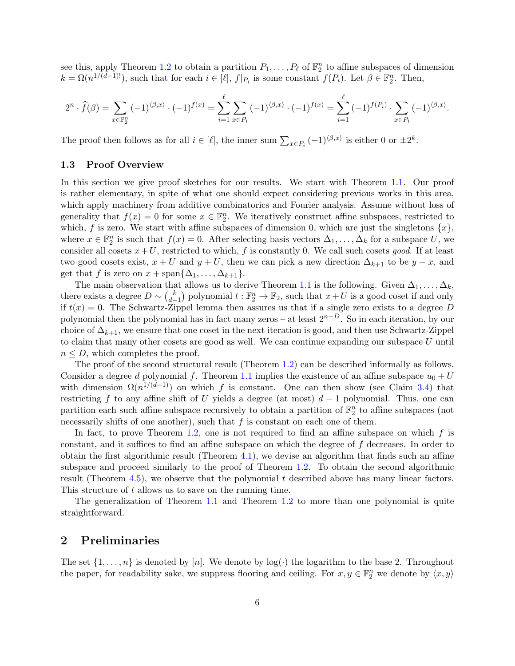see this, apply Theorem [1.2](#page-3-2) to obtain a partition  $P_1, \ldots, P_\ell$  of  $\mathbb{F}_2^n$  to affine subspaces of dimension  $k = \Omega(n^{1/(d-1)!})$ , such that for each  $i \in [\ell], f|_{P_i}$  is some constant  $f(P_i)$ . Let  $\beta \in \mathbb{F}_2^n$ . Then,

$$
2^{n} \cdot \widehat{f}(\beta) = \sum_{x \in \mathbb{F}_{2}^{n}} (-1)^{\langle \beta, x \rangle} \cdot (-1)^{f(x)} = \sum_{i=1}^{\ell} \sum_{x \in P_{i}} (-1)^{\langle \beta, x \rangle} \cdot (-1)^{f(x)} = \sum_{i=1}^{\ell} (-1)^{f(P_{i})} \cdot \sum_{x \in P_{i}} (-1)^{\langle \beta, x \rangle}.
$$

The proof then follows as for all  $i \in [\ell]$ , the inner sum  $\sum_{x \in P_i} (-1)^{\langle \beta, x \rangle}$  is either 0 or  $\pm 2^k$ .

#### <span id="page-7-0"></span>1.3 Proof Overview

In this section we give proof sketches for our results. We start with Theorem [1.1.](#page-2-4) Our proof is rather elementary, in spite of what one should expect considering previous works in this area, which apply machinery from additive combinatorics and Fourier analysis. Assume without loss of generality that  $f(x) = 0$  for some  $x \in \mathbb{F}_2^n$ . We iteratively construct affine subspaces, restricted to which, f is zero. We start with affine subspaces of dimension 0, which are just the singletons  $\{x\}$ , where  $x \in \mathbb{F}_2^n$  is such that  $f(x) = 0$ . After selecting basis vectors  $\Delta_1, \ldots, \Delta_k$  for a subspace U, we consider all cosets  $x+U$ , restricted to which, f is constantly 0. We call such cosets good. If at least two good cosets exist,  $x + U$  and  $y + U$ , then we can pick a new direction  $\Delta_{k+1}$  to be  $y - x$ , and get that f is zero on  $x + \text{span}\{\Delta_1, \ldots, \Delta_{k+1}\}.$ 

The main observation that allows us to derive Theorem [1.1](#page-2-4) is the following. Given  $\Delta_1, \ldots, \Delta_k$ , there exists a degree  $D \sim {k \choose d-1}$  $\binom{k}{d-1}$  polynomial  $t : \mathbb{F}_2^n \to \mathbb{F}_2$ , such that  $x + U$  is a good coset if and only if  $t(x) = 0$ . The Schwartz-Zippel lemma then assures us that if a single zero exists to a degree D polynomial then the polynomial has in fact many zeros – at least  $2^{n-D}$ . So in each iteration, by our choice of  $\Delta_{k+1}$ , we ensure that one coset in the next iteration is good, and then use Schwartz-Zippel to claim that many other cosets are good as well. We can continue expanding our subspace  $U$  until  $n \leq D$ , which completes the proof.

The proof of the second structural result (Theorem [1.2\)](#page-3-2) can be described informally as follows. Consider a degree d polynomial f. Theorem [1.1](#page-2-4) implies the existence of an affine subspace  $u_0 + U$ with dimension  $\Omega(n^{1/(d-1)})$  on which f is constant. One can then show (see Claim [3.4\)](#page-11-1) that restricting f to any affine shift of U yields a degree (at most)  $d-1$  polynomial. Thus, one can partition each such affine subspace recursively to obtain a partition of  $\mathbb{F}_2^n$  to affine subspaces (not necessarily shifts of one another), such that  $f$  is constant on each one of them.

In fact, to prove Theorem [1.2,](#page-3-2) one is not required to find an affine subspace on which  $f$  is constant, and it suffices to find an affine subspace on which the degree of f decreases. In order to obtain the first algorithmic result (Theorem [4.1\)](#page-13-3), we devise an algorithm that finds such an affine subspace and proceed similarly to the proof of Theorem [1.2.](#page-3-2) To obtain the second algorithmic result (Theorem [4.5\)](#page-15-1), we observe that the polynomial  $t$  described above has many linear factors. This structure of t allows us to save on the running time.

The generalization of Theorem [1.1](#page-2-4) and Theorem [1.2](#page-3-2) to more than one polynomial is quite straightforward.

## <span id="page-7-1"></span>2 Preliminaries

The set  $\{1, \ldots, n\}$  is denoted by  $[n]$ . We denote by  $\log(\cdot)$  the logarithm to the base 2. Throughout the paper, for readability sake, we suppress flooring and ceiling. For  $x, y \in \mathbb{F}_2^n$  we denote by  $\langle x, y \rangle$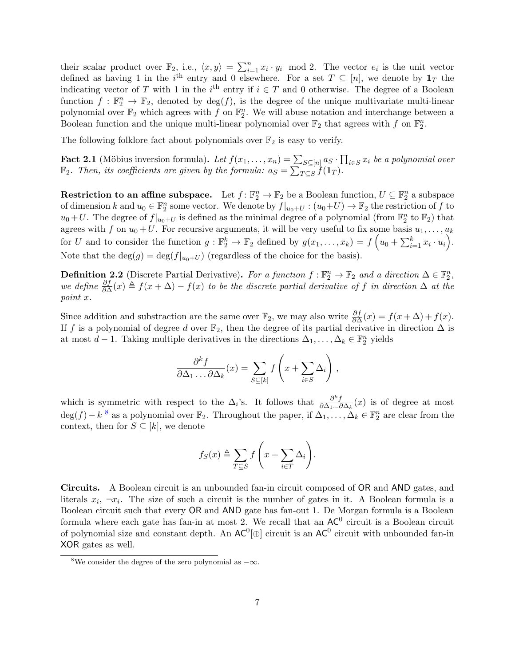their scalar product over  $\mathbb{F}_2$ , i.e.,  $\langle x, y \rangle = \sum_{i=1}^n x_i \cdot y_i \mod 2$ . The vector  $e_i$  is the unit vector defined as having 1 in the  $i<sup>th</sup>$  entry and 0 elsewhere. For a set  $T \subseteq [n]$ , we denote by  $\mathbf{1}_T$  the indicating vector of T with 1 in the i<sup>th</sup> entry if  $i \in T$  and 0 otherwise. The degree of a Boolean function  $f : \mathbb{F}_2^n \to \mathbb{F}_2$ , denoted by  $\deg(f)$ , is the degree of the unique multivariate multi-linear polynomial over  $\mathbb{F}_2$  which agrees with f on  $\mathbb{F}_2^n$ . We will abuse notation and interchange between a Boolean function and the unique multi-linear polynomial over  $\mathbb{F}_2$  that agrees with f on  $\mathbb{F}_2^n$ .

The following folklore fact about polynomials over  $\mathbb{F}_2$  is easy to verify.

<span id="page-8-1"></span>**Fact 2.1** (Möbius inversion formula). Let  $f(x_1, \ldots, x_n) = \sum_{S \subseteq [n]} a_S \cdot \prod_{i \in S} x_i$  be a polynomial over  $\mathbb{F}_2$ . Then, its coefficients are given by the formula:  $a_S = \sum_{T \subseteq S} f(\mathbf{1}_T)$ .

Restriction to an affine subspace. Let  $f: \mathbb{F}_2^n \to \mathbb{F}_2$  be a Boolean function,  $U \subseteq \mathbb{F}_2^n$  a subspace of dimension k and  $u_0 \in \mathbb{F}_2^n$  some vector. We denote by  $f|_{u_0+U} : (u_0+U) \to \mathbb{F}_2$  the restriction of f to  $u_0+U$ . The degree of  $f|_{u_0+U}$  is defined as the minimal degree of a polynomial (from  $\mathbb{F}_2^n$  to  $\mathbb{F}_2$ ) that agrees with f on  $u_0 + U$ . For recursive arguments, it will be very useful to fix some basis  $u_1, \ldots, u_k$ for U and to consider the function  $g: \mathbb{F}_2^k \to \mathbb{F}_2$  defined by  $g(x_1, \ldots, x_k) = f\left(u_0 + \sum_{i=1}^k x_i \cdot u_i\right)$ . Note that the  $\deg(g) = \deg(f|_{u_0+U})$  (regardless of the choice for the basis).

**Definition 2.2** (Discrete Partial Derivative). For a function  $f : \mathbb{F}_2^n \to \mathbb{F}_2$  and a direction  $\Delta \in \mathbb{F}_2^n$ , we define  $\frac{\partial f}{\partial \Delta}(x) \triangleq f(x + \Delta) - f(x)$  to be the discrete partial derivative of f in direction  $\Delta$  at the point x.

Since addition and substraction are the same over  $\mathbb{F}_2$ , we may also write  $\frac{\partial f}{\partial \Delta}(x) = f(x + \Delta) + f(x)$ . If f is a polynomial of degree d over  $\mathbb{F}_2$ , then the degree of its partial derivative in direction  $\Delta$  is at most  $d-1$ . Taking multiple derivatives in the directions  $\Delta_1, \ldots, \Delta_k \in \mathbb{F}_2^n$  yields

$$
\frac{\partial^k f}{\partial \Delta_1 \dots \partial \Delta_k}(x) = \sum_{S \subseteq [k]} f\left(x + \sum_{i \in S} \Delta_i\right),
$$

which is symmetric with respect to the  $\Delta_i$ 's. It follows that  $\frac{\partial^k f}{\partial \Delta_{1...k}}$  $\frac{\partial^n f}{\partial \Delta_1...\partial \Delta_k}(x)$  is of degree at most  $\deg(f) - k^{-8}$  $\deg(f) - k^{-8}$  $\deg(f) - k^{-8}$  as a polynomial over  $\mathbb{F}_2$ . Throughout the paper, if  $\Delta_1, \ldots, \Delta_k \in \mathbb{F}_2^n$  are clear from the context, then for  $S \subseteq [k]$ , we denote

$$
f_S(x) \triangleq \sum_{T \subseteq S} f\left(x + \sum_{i \in T} \Delta_i\right).
$$

Circuits. A Boolean circuit is an unbounded fan-in circuit composed of OR and AND gates, and literals  $x_i$ ,  $\neg x_i$ . The size of such a circuit is the number of gates in it. A Boolean formula is a Boolean circuit such that every OR and AND gate has fan-out 1. De Morgan formula is a Boolean formula where each gate has fan-in at most 2. We recall that an  $AC^0$  circuit is a Boolean circuit of polynomial size and constant depth. An  $AC^0[\oplus]$  circuit is an  $AC^0$  circuit with unbounded fan-in XOR gates as well.

<span id="page-8-0"></span><sup>&</sup>lt;sup>8</sup>We consider the degree of the zero polynomial as  $-\infty$ .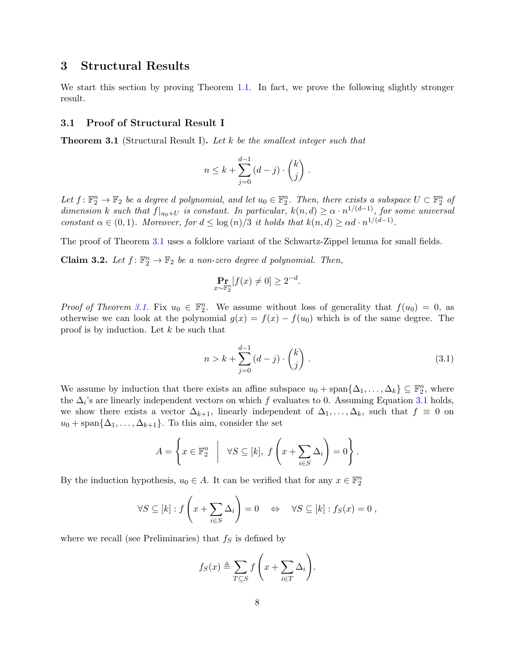## <span id="page-9-0"></span>3 Structural Results

We start this section by proving Theorem [1.1.](#page-2-4) In fact, we prove the following slightly stronger result.

#### <span id="page-9-1"></span>3.1 Proof of Structural Result I

<span id="page-9-2"></span>**Theorem 3.1** (Structural Result I). Let k be the smallest integer such that

$$
n \leq k + \sum_{j=0}^{d-1} (d-j) \cdot \binom{k}{j} .
$$

Let  $f: \mathbb{F}_2^n \to \mathbb{F}_2$  be a degree d polynomial, and let  $u_0 \in \mathbb{F}_2^n$ . Then, there exists a subspace  $U \subset \mathbb{F}_2^n$  of dimension k such that  $f|_{u_0+U}$  is constant. In particular,  $k(n,d) \geq \alpha \cdot n^{1/(d-1)}$ , for some universal constant  $\alpha \in (0,1)$ . Moreover, for  $d \leq \log(n)/3$  it holds that  $k(n,d) \geq \alpha d \cdot n^{1/(d-1)}$ .

The proof of Theorem [3.1](#page-9-2) uses a folklore variant of the Schwartz-Zippel lemma for small fields.

<span id="page-9-4"></span>**Claim 3.2.** Let  $f: \mathbb{F}_2^n \to \mathbb{F}_2$  be a non-zero degree d polynomial. Then,

$$
\Pr_{x \sim \mathbb{F}_2^n} [f(x) \neq 0] \ge 2^{-d}
$$

.

*Proof of Theorem [3.1.](#page-9-2)* Fix  $u_0 \in \mathbb{F}_2^n$ . We assume without loss of generality that  $f(u_0) = 0$ , as otherwise we can look at the polynomial  $g(x) = f(x) - f(u_0)$  which is of the same degree. The proof is by induction. Let k be such that

<span id="page-9-3"></span>
$$
n > k + \sum_{j=0}^{d-1} (d-j) \cdot \binom{k}{j} . \tag{3.1}
$$

We assume by induction that there exists an affine subspace  $u_0 + \text{span}\{\Delta_1, \ldots, \Delta_k\} \subseteq \mathbb{F}_2^n$ , where the  $\Delta_i$ 's are linearly independent vectors on which f evaluates to 0. Assuming Equation [3.1](#page-9-3) holds, we show there exists a vector  $\Delta_{k+1}$ , linearly independent of  $\Delta_1, \ldots, \Delta_k$ , such that  $f \equiv 0$  on  $u_0 + \text{span}\{\Delta_1, \ldots, \Delta_{k+1}\}.$  To this aim, consider the set

$$
A = \left\{ x \in \mathbb{F}_2^n \middle| \forall S \subseteq [k], f\left(x + \sum_{i \in S} \Delta_i\right) = 0 \right\}.
$$

By the induction hypothesis,  $u_0 \in A$ . It can be verified that for any  $x \in \mathbb{F}_2^n$ 

$$
\forall S \subseteq [k] : f\left(x + \sum_{i \in S} \Delta_i\right) = 0 \quad \Leftrightarrow \quad \forall S \subseteq [k] : f_S(x) = 0 ,
$$

where we recall (see Preliminaries) that  $f<sub>S</sub>$  is defined by

$$
f_S(x) \triangleq \sum_{T \subseteq S} f\left(x + \sum_{i \in T} \Delta_i\right).
$$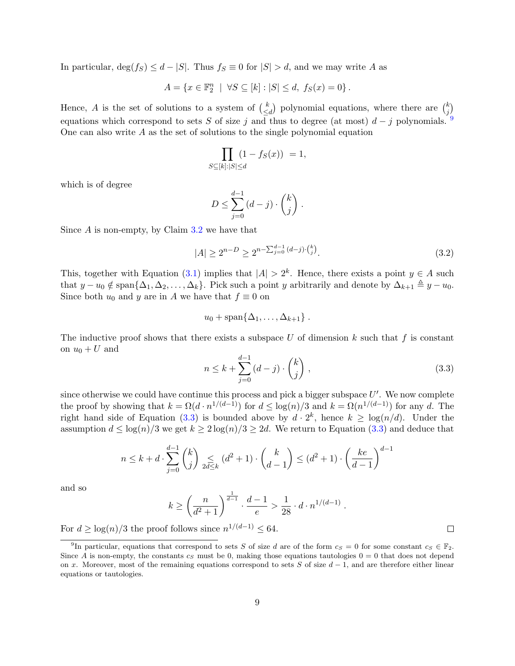In particular,  $\deg(f_S) \leq d - |S|$ . Thus  $f_S \equiv 0$  for  $|S| > d$ , and we may write A as

$$
A = \{ x \in \mathbb{F}_2^n \mid \forall S \subseteq [k] : |S| \le d, \ f_S(x) = 0 \}.
$$

Hence, A is the set of solutions to a system of  $\binom{k}{\leq k}$  $\binom{k}{\leq d}$  polynomial equations, where there are  $\binom{k}{j}$  $_{j}^{k})$ equations which correspond to sets S of size j and thus to degree (at most)  $d - j$  polynomials. <sup>[9](#page-10-0)</sup> One can also write  $A$  as the set of solutions to the single polynomial equation

$$
\prod_{S \subseteq [k]:|S| \le d} (1 - f_S(x)) = 1,
$$

which is of degree

$$
D \le \sum_{j=0}^{d-1} (d-j) \cdot \binom{k}{j} .
$$

Since  $A$  is non-empty, by Claim [3.2](#page-9-4) we have that

$$
|A| \ge 2^{n-D} \ge 2^{n-\sum_{j=0}^{d-1} (d-j)\cdot {k \choose j}}.
$$
\n(3.2)

This, together with Equation [\(3.1\)](#page-9-3) implies that  $|A| > 2<sup>k</sup>$ . Hence, there exists a point  $y \in A$  such that  $y - u_0 \notin \text{span}\{\Delta_1, \Delta_2, \ldots, \Delta_k\}.$  Pick such a point y arbitrarily and denote by  $\Delta_{k+1} \triangleq y - u_0$ . Since both  $u_0$  and y are in A we have that  $f \equiv 0$  on

$$
u_0+\mathrm{span}\{\Delta_1,\ldots,\Delta_{k+1}\}\ .
$$

The inductive proof shows that there exists a subspace U of dimension  $k$  such that  $f$  is constant on  $u_0 + U$  and

<span id="page-10-1"></span>
$$
n \le k + \sum_{j=0}^{d-1} (d-j) \cdot \binom{k}{j},\tag{3.3}
$$

since otherwise we could have continue this process and pick a bigger subspace  $U'$ . We now complete the proof by showing that  $k = \Omega(d \cdot n^{1/(d-1)})$  for  $d \leq \log(n)/3$  and  $k = \Omega(n^{1/(d-1)})$  for any d. The right hand side of Equation [\(3.3\)](#page-10-1) is bounded above by  $d \cdot 2^k$ , hence  $k \geq \log(n/d)$ . Under the assumption  $d \leq \log(n)/3$  we get  $k \geq 2 \log(n)/3 \geq 2d$ . We return to Equation [\(3.3\)](#page-10-1) and deduce that

$$
n \le k + d \cdot \sum_{j=0}^{d-1} \binom{k}{j} \le \ell \le k} (d^2 + 1) \cdot \binom{k}{d-1} \le (d^2 + 1) \cdot \left(\frac{ke}{d-1}\right)^{d-1}
$$

and so

$$
k \ge \left(\frac{n}{d^2+1}\right)^{\frac{1}{d-1}} \cdot \frac{d-1}{e} > \frac{1}{28} \cdot d \cdot n^{1/(d-1)}.
$$

For  $d \geq \log(n)/3$  the proof follows since  $n^{1/(d-1)} \leq 64$ .

 $\Box$ 

<span id="page-10-0"></span><sup>&</sup>lt;sup>9</sup>In particular, equations that correspond to sets S of size d are of the form  $c_S = 0$  for some constant  $c_S \in \mathbb{F}_2$ . Since A is non-empty, the constants  $c_S$  must be 0, making those equations tautologies  $0 = 0$  that does not depend on x. Moreover, most of the remaining equations correspond to sets S of size  $d-1$ , and are therefore either linear equations or tautologies.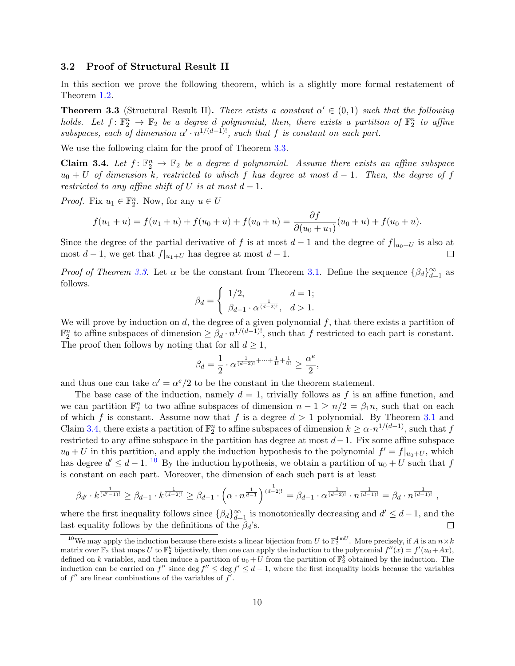#### <span id="page-11-0"></span>3.2 Proof of Structural Result II

In this section we prove the following theorem, which is a slightly more formal restatement of Theorem [1.2.](#page-3-2)

<span id="page-11-2"></span>**Theorem 3.3** (Structural Result II). There exists a constant  $\alpha' \in (0,1)$  such that the following holds. Let  $f: \mathbb{F}_2^n \to \mathbb{F}_2$  be a degree d polynomial, then, there exists a partition of  $\mathbb{F}_2^n$  to affine subspaces, each of dimension  $\alpha' \cdot n^{1/(d-1)!}$ , such that f is constant on each part.

We use the following claim for the proof of Theorem [3.3.](#page-11-2)

<span id="page-11-1"></span>**Claim 3.4.** Let  $f: \mathbb{F}_2^n \to \mathbb{F}_2$  be a degree d polynomial. Assume there exists an affine subspace  $u_0 + U$  of dimension k, restricted to which f has degree at most  $d - 1$ . Then, the degree of f restricted to any affine shift of U is at most  $d-1$ .

*Proof.* Fix  $u_1 \in \mathbb{F}_2^n$ . Now, for any  $u \in U$ 

$$
f(u_1 + u) = f(u_1 + u) + f(u_0 + u) + f(u_0 + u) = \frac{\partial f}{\partial (u_0 + u_1)}(u_0 + u) + f(u_0 + u).
$$

Since the degree of the partial derivative of f is at most  $d-1$  and the degree of  $f|_{u_0+U}$  is also at most  $d-1$ , we get that  $f|_{u_1+U}$  has degree at most  $d-1$ .  $\Box$ 

*Proof of Theorem [3.3.](#page-11-2)* Let  $\alpha$  be the constant from Theorem [3.1.](#page-9-2) Define the sequence  $\{\beta_d\}_{d=1}^{\infty}$  as follows.

$$
\beta_d = \begin{cases} 1/2, & d = 1; \\ \beta_{d-1} \cdot \alpha^{\frac{1}{(d-2)!}}, & d > 1. \end{cases}
$$

We will prove by induction on d, the degree of a given polynomial  $f$ , that there exists a partition of  $\mathbb{F}_2^n$  to affine subspaces of dimension  $\geq \beta_d \cdot n^{1/(d-1)!}$ , such that f restricted to each part is constant. The proof then follows by noting that for all  $d \geq 1$ ,

$$
\beta_d=\frac{1}{2}\cdot\alpha^{\frac{1}{(d-2)!}+\cdots+\frac{1}{1!}+\frac{1}{0!}}\geq\frac{\alpha^e}{2},
$$

and thus one can take  $\alpha' = \alpha^e/2$  to be the constant in the theorem statement.

The base case of the induction, namely  $d = 1$ , trivially follows as f is an affine function, and we can partition  $\mathbb{F}_2^n$  to two affine subspaces of dimension  $n-1 \geq n/2 = \beta_1 n$ , such that on each of which f is constant. Assume now that f is a degree  $d > 1$  polynomial. By Theorem [3.1](#page-9-2) and Claim [3.4,](#page-11-1) there exists a partition of  $\mathbb{F}_2^n$  to affine subspaces of dimension  $k \geq \alpha \cdot n^{1/(d-1)}$ , such that f restricted to any affine subspace in the partition has degree at most  $d-1$ . Fix some affine subspace  $u_0 + U$  in this partition, and apply the induction hypothesis to the polynomial  $f' = f|_{u_0+U}$ , which has degree  $d' \leq d-1$ . <sup>[10](#page-11-3)</sup> By the induction hypothesis, we obtain a partition of  $u_0 + U$  such that f is constant on each part. Moreover, the dimension of each such part is at least

$$
\beta_{d'} \cdot k^{\frac{1}{(d'-1)!}} \ge \beta_{d-1} \cdot k^{\frac{1}{(d-2)!}} \ge \beta_{d-1} \cdot \left(\alpha \cdot n^{\frac{1}{d-1}}\right)^{\frac{1}{(d-2)!}} = \beta_{d-1} \cdot \alpha^{\frac{1}{(d-2)!}} \cdot n^{\frac{1}{(d-1)!}} = \beta_d \cdot n^{\frac{1}{(d-1)!}},
$$

where the first inequality follows since  $\{\beta_d\}_{d=1}^{\infty}$  is monotonically decreasing and  $d' \leq d-1$ , and the last equality follows by the definitions of the  $\beta_d$ 's.  $\Box$ 

<span id="page-11-3"></span><sup>&</sup>lt;sup>10</sup>We may apply the induction because there exists a linear bijection from U to  $\mathbb{F}_2^{\dim U}$ . More precisely, if A is an  $n \times k$ matrix over  $\mathbb{F}_2$  that maps U to  $\mathbb{F}_2^k$  bijectively, then one can apply the induction to the polynomial  $f''(x) = f'(u_0 + Ax)$ , defined on k variables, and then induce a partition of  $u_0 + U$  from the partition of  $\mathbb{F}_2^k$  obtained by the induction. The induction can be carried on f'' since deg  $f'' \le \deg f' \le d-1$ , where the first inequality holds because the variables of  $f''$  are linear combinations of the variables of  $f'$ .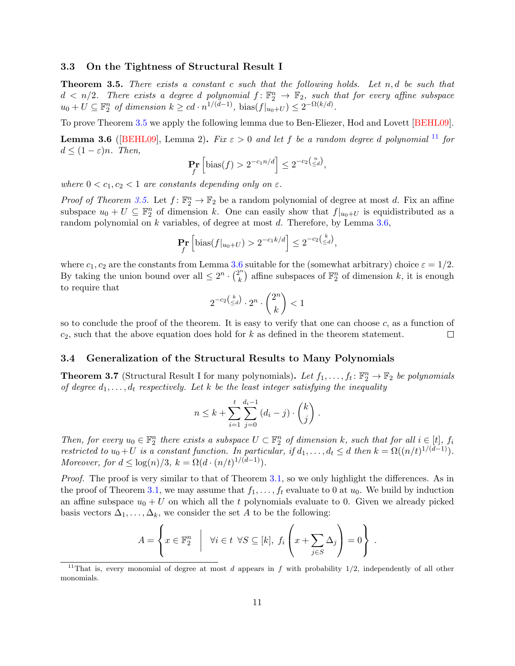#### <span id="page-12-0"></span>3.3 On the Tightness of Structural Result I

<span id="page-12-3"></span>**Theorem 3.5.** There exists a constant c such that the following holds. Let  $n, d$  be such that  $d \langle n/2 \rangle$ . There exists a degree d polynomial  $f: \mathbb{F}_2^n \to \mathbb{F}_2$ , such that for every affine subspace  $u_0 + U \subseteq \mathbb{F}_2^n$  of dimension  $k \geq cd \cdot n^{1/(d-1)}$ , bias $(f|_{u_0+U}) \leq 2^{-\Omega(k/d)}$ .

<span id="page-12-5"></span>To prove Theorem [3.5](#page-12-3) we apply the following lemma due to Ben-Eliezer, Hod and Lovett [\[BEHL09\]](#page-20-5). **Lemma 3.6** ([\[BEHL09\]](#page-20-5), Lemma 2). Fix  $\varepsilon > 0$  and let f be a random degree d polynomial <sup>[11](#page-12-4)</sup> for  $d \leq (1 - \varepsilon)n$ . Then,

$$
\Pr_f\left[\text{bias}(f) > 2^{-c_1 n/d}\right] \le 2^{-c_2\binom{n}{\le d}},
$$

where  $0 < c_1, c_2 < 1$  are constants depending only on  $\varepsilon$ .

*Proof of Theorem [3.5.](#page-12-3)* Let  $f: \mathbb{F}_2^n \to \mathbb{F}_2$  be a random polynomial of degree at most d. Fix an affine subspace  $u_0 + U \subseteq \mathbb{F}_2^n$  of dimension k. One can easily show that  $f|_{u_0+U}$  is equidistributed as a random polynomial on k variables, of degree at most d. Therefore, by Lemma [3.6,](#page-12-5)

$$
\Pr_f\left[\text{bias}(f|_{u_0+U}) > 2^{-c_1k/d}\right] \le 2^{-c_2\left(\frac{k}{\le d}\right)},
$$

where  $c_1, c_2$  are the constants from Lemma [3.6](#page-12-5) suitable for the (somewhat arbitrary) choice  $\varepsilon = 1/2$ . By taking the union bound over all  $\leq 2^n \cdot {2^n \choose k}$  $\mathbf{k}^{n}$ ) affine subspaces of  $\mathbb{F}_{2}^{n}$  of dimension k, it is enough to require that

$$
2^{-c_2\binom{k}{\leq d}}\cdot 2^n\cdot \binom{2^n}{k}<1
$$

so to conclude the proof of the theorem. It is easy to verify that one can choose c, as a function of  $c_2$ , such that the above equation does hold for k as defined in the theorem statement.  $\Box$ 

#### <span id="page-12-1"></span>3.4 Generalization of the Structural Results to Many Polynomials

<span id="page-12-2"></span>**Theorem 3.7** (Structural Result I for many polynomials). Let  $f_1, \ldots, f_t \colon \mathbb{F}_2^n \to \mathbb{F}_2$  be polynomials of degree  $d_1, \ldots, d_t$  respectively. Let k be the least integer satisfying the inequality

$$
n \leq k + \sum_{i=1}^{t} \sum_{j=0}^{d_i-1} (d_i - j) \cdot {k \choose j}.
$$

Then, for every  $u_0 \in \mathbb{F}_2^n$  there exists a subspace  $U \subset \mathbb{F}_2^n$  of dimension k, such that for all  $i \in [t]$ ,  $f_i$ restricted to  $u_0+U$  is a constant function. In particular, if  $d_1,\ldots,d_t \leq d$  then  $k = \Omega((n/t)^{1/(d-1)})$ . Moreover, for  $d \leq \log(n)/3$ ,  $k = \Omega(d \cdot (n/t)^{1/(d-1)})$ .

Proof. The proof is very similar to that of Theorem [3.1,](#page-9-2) so we only highlight the differences. As in the proof of Theorem [3.1,](#page-9-2) we may assume that  $f_1, \ldots, f_t$  evaluate to 0 at  $u_0$ . We build by induction an affine subspace  $u_0 + U$  on which all the t polynomials evaluate to 0. Given we already picked basis vectors  $\Delta_1, \ldots, \Delta_k$ , we consider the set A to be the following:

$$
A = \left\{ x \in \mathbb{F}_2^n \middle| \forall i \in t \ \forall S \subseteq [k], \ f_i \left( x + \sum_{j \in S} \Delta_j \right) = 0 \right\} \ .
$$

<span id="page-12-4"></span><sup>&</sup>lt;sup>11</sup>That is, every monomial of degree at most d appears in f with probability  $1/2$ , independently of all other monomials.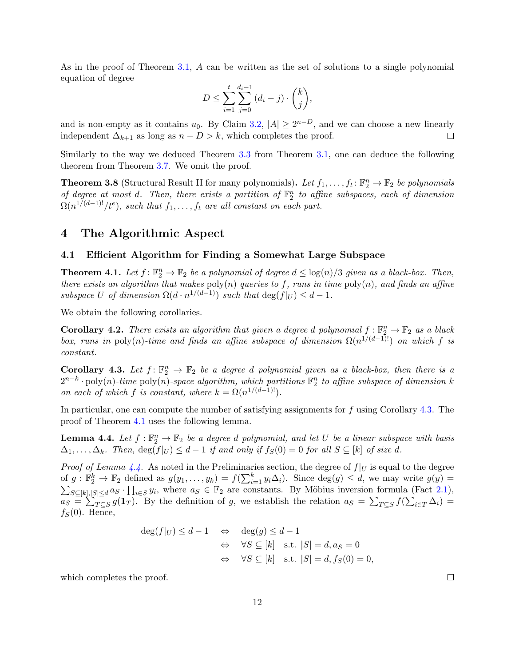As in the proof of Theorem [3.1,](#page-9-2) A can be written as the set of solutions to a single polynomial equation of degree

$$
D \le \sum_{i=1}^{t} \sum_{j=0}^{d_i - 1} (d_i - j) \cdot {k \choose j},
$$

and is non-empty as it contains  $u_0$ . By Claim [3.2,](#page-9-4)  $|A| \ge 2^{n-D}$ , and we can choose a new linearly independent  $\Delta_{k+1}$  as long as  $n - D > k$ , which completes the proof.  $\Box$ 

Similarly to the way we deduced Theorem [3.3](#page-11-2) from Theorem [3.1,](#page-9-2) one can deduce the following theorem from Theorem [3.7.](#page-12-2) We omit the proof.

<span id="page-13-2"></span>**Theorem 3.8** (Structural Result II for many polynomials). Let  $f_1, \ldots, f_t \colon \mathbb{F}_2^n \to \mathbb{F}_2$  be polynomials of degree at most d. Then, there exists a partition of  $\mathbb{F}_2^n$  to affine subspaces, each of dimension  $\Omega(n^{1/(d-1)!}/t^e)$ , such that  $f_1,\ldots,f_t$  are all constant on each part.

### <span id="page-13-0"></span>4 The Algorithmic Aspect

#### <span id="page-13-1"></span>4.1 Efficient Algorithm for Finding a Somewhat Large Subspace

<span id="page-13-3"></span>**Theorem 4.1.** Let  $f: \mathbb{F}_2^n \to \mathbb{F}_2$  be a polynomial of degree  $d \leq \log(n)/3$  given as a black-box. Then, there exists an algorithm that makes  $poly(n)$  queries to f, runs in time  $poly(n)$ , and finds an affine subspace U of dimension  $\Omega(d \cdot n^{1/(d-1)})$  such that  $\deg(f|_U) \leq d-1$ .

We obtain the following corollaries.

**Corollary 4.2.** There exists an algorithm that given a degree d polynomial  $f: \mathbb{F}_2^n \to \mathbb{F}_2$  as a black box, runs in poly(n)-time and finds an affine subspace of dimension  $\Omega(n^{1/(d-1)!})$  on which f is constant.

<span id="page-13-4"></span>**Corollary 4.3.** Let  $f: \mathbb{F}_2^n \to \mathbb{F}_2$  be a degree d polynomial given as a black-box, then there is a  $2^{n-k}\cdot \text{poly}(n)$ -time  $\text{poly}(n)$ -space algorithm, which partitions  $\mathbb{F}_2^n$  to affine subspace of dimension k on each of which f is constant, where  $k = \Omega(n^{1/(d-1)!})$ .

In particular, one can compute the number of satisfying assignments for f using Corollary [4.3.](#page-13-4) The proof of Theorem [4.1](#page-13-3) uses the following lemma.

<span id="page-13-5"></span>**Lemma 4.4.** Let  $f : \mathbb{F}_2^n \to \mathbb{F}_2$  be a degree d polynomial, and let U be a linear subspace with basis  $\Delta_1, \ldots, \Delta_k$ . Then,  $\deg(f|_U) \leq d-1$  if and only if  $f_S(0) = 0$  for all  $S \subseteq [k]$  of size d.

*Proof of Lemma [4.4.](#page-13-5)* As noted in the Preliminaries section, the degree of  $f|_U$  is equal to the degree of  $g: \mathbb{F}_2^k \to \mathbb{F}_2$  defined as  $g(y_1, \ldots, y_k) = f(\sum_{i=1}^k y_i \Delta_i)$ . Since  $\deg(g) \leq d$ , we may write  $g(y) =$  $\sum_{S\subseteq[k],|S|\leq d} a_S \cdot \prod_{i\in S} y_i$ , where  $a_S \in \mathbb{F}_2$  are constants. By Möbius inversion formula (Fact [2.1\)](#page-8-1),  $a_S = \sum_{T \subseteq S} g(1_T)$ . By the definition of g, we establish the relation  $a_S = \sum_{T \subseteq S} f(\sum_{i \in T} \Delta_i) =$  $f_S(0)$ . Hence,

$$
\deg(f|_U) \le d - 1 \quad \Leftrightarrow \quad \deg(g) \le d - 1
$$
  

$$
\Leftrightarrow \quad \forall S \subseteq [k] \quad \text{s.t.} \quad |S| = d, a_S = 0
$$
  

$$
\Leftrightarrow \quad \forall S \subseteq [k] \quad \text{s.t.} \quad |S| = d, fs(0) = 0,
$$

which completes the proof.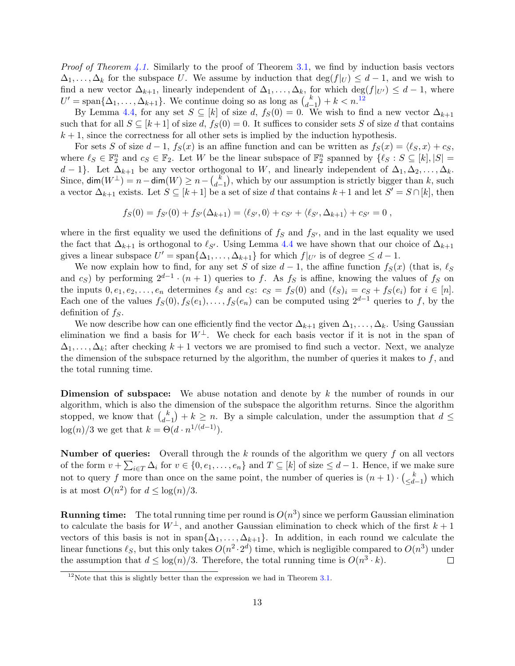*Proof of Theorem [4.1.](#page-13-3)* Similarly to the proof of Theorem [3.1,](#page-9-2) we find by induction basis vectors  $\Delta_1, \ldots, \Delta_k$  for the subspace U. We assume by induction that  $\deg(f|_U) \leq d-1$ , and we wish to find a new vector  $\Delta_{k+1}$ , linearly independent of  $\Delta_1, \ldots, \Delta_k$ , for which deg( $f|_{U'}$ )  $\leq d-1$ , where  $U' = \text{span}\{\Delta_1, \ldots, \Delta_{k+1}\}.$  We continue doing so as long as  $\binom{k}{d}$  $\binom{k}{d-1} + k < n$ .<sup>[12](#page-14-0)</sup>

By Lemma [4.4,](#page-13-5) for any set  $S \subseteq [k]$  of size d,  $f_S(0) = 0$ . We wish to find a new vector  $\Delta_{k+1}$ such that for all  $S \subseteq [k+1]$  of size d,  $f_S(0) = 0$ . It suffices to consider sets S of size d that contains  $k + 1$ , since the correctness for all other sets is implied by the induction hypothesis.

For sets S of size  $d-1$ ,  $f_S(x)$  is an affine function and can be written as  $f_S(x) = \langle \ell_S, x \rangle + c_S$ , where  $\ell_S \in \mathbb{F}_2^n$  and  $c_S \in \mathbb{F}_2$ . Let W be the linear subspace of  $\mathbb{F}_2^n$  spanned by  $\{\ell_S : S \subseteq [k], |S| = \ell_S\}$ d − 1}. Let  $\Delta_{k+1}$  be any vector orthogonal to W, and linearly independent of  $\Delta_1, \Delta_2, \ldots, \Delta_k$ . Since, dim $(W^{\perp}) = n - \dim(W) \geq n - {k \choose d}$  $\binom{k}{d-1}$ , which by our assumption is strictly bigger than k, such a vector  $\Delta_{k+1}$  exists. Let  $S \subseteq [k+1]$  be a set of size d that contains  $k+1$  and let  $S' = S \cap [k]$ , then

$$
f_S(0) = f_{S'}(0) + f_{S'}(\Delta_{k+1}) = \langle \ell_{S'}, 0 \rangle + c_{S'} + \langle \ell_{S'}, \Delta_{k+1} \rangle + c_{S'} = 0,
$$

where in the first equality we used the definitions of  $f<sub>S</sub>$  and  $f<sub>S'</sub>$ , and in the last equality we used the fact that  $\Delta_{k+1}$  is orthogonal to  $\ell_{S'}$ . Using Lemma [4.4](#page-13-5) we have shown that our choice of  $\Delta_{k+1}$ gives a linear subspace  $U' = \text{span}\{\Delta_1, \ldots, \Delta_{k+1}\}\$  for which  $f|_{U'}$  is of degree  $\leq d-1$ .

We now explain how to find, for any set S of size  $d-1$ , the affine function  $f_S(x)$  (that is,  $\ell_S$ and  $c_S$ ) by performing  $2^{d-1} \cdot (n+1)$  queries to f. As  $f_S$  is affine, knowing the values of  $f_S$  on the inputs  $0, e_1, e_2, \ldots, e_n$  determines  $\ell_S$  and  $c_S$ :  $c_S = f_S(0)$  and  $(\ell_S)_i = c_S + f_S(e_i)$  for  $i \in [n]$ . Each one of the values  $f_S(0), f_S(e_1), \ldots, f_S(e_n)$  can be computed using  $2^{d-1}$  queries to f, by the definition of  $f_s$ .

We now describe how can one efficiently find the vector  $\Delta_{k+1}$  given  $\Delta_1, \ldots, \Delta_k$ . Using Gaussian elimination we find a basis for  $W^{\perp}$ . We check for each basis vector if it is not in the span of  $\Delta_1, \ldots, \Delta_k$ ; after checking  $k + 1$  vectors we are promised to find such a vector. Next, we analyze the dimension of the subspace returned by the algorithm, the number of queries it makes to  $f$ , and the total running time.

Dimension of subspace: We abuse notation and denote by k the number of rounds in our algorithm, which is also the dimension of the subspace the algorithm returns. Since the algorithm stopped, we know that  $\binom{k}{d}$  $\binom{k}{d-1} + k \geq n$ . By a simple calculation, under the assumption that  $d \leq$  $\log(n)/3$  we get that  $k = \Theta(d \cdot n^{1/(d-1)})$ .

**Number of queries:** Overall through the k rounds of the algorithm we query f on all vectors of the form  $v + \sum_{i \in T} \Delta_i$  for  $v \in \{0, e_1, \ldots, e_n\}$  and  $T \subseteq [k]$  of size  $\leq d-1$ . Hence, if we make sure not to query f more than once on the same point, the number of queries is  $(n+1) \cdot \binom{k}{d}$  $\left(\frac{k}{d-1}\right)$  which is at most  $O(n^2)$  for  $d \leq \log(n)/3$ .

**Running time:** The total running time per round is  $O(n^3)$  since we perform Gaussian elimination to calculate the basis for  $W^{\perp}$ , and another Gaussian elimination to check which of the first  $k+1$ vectors of this basis is not in span $\{\Delta_1, \ldots, \Delta_{k+1}\}.$  In addition, in each round we calculate the linear functions  $\ell_S$ , but this only takes  $O(n^2 \cdot 2^d)$  time, which is negligible compared to  $O(n^3)$  under the assumption that  $d \leq \log(n)/3$ . Therefore, the total running time is  $O(n^3 \cdot k)$ .  $\Box$ 

<span id="page-14-0"></span> $12$ Note that this is slightly better than the expression we had in Theorem [3.1.](#page-9-2)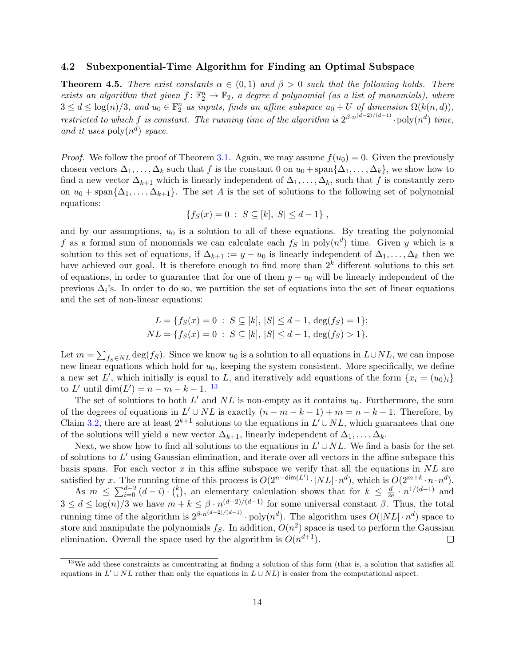#### <span id="page-15-0"></span>4.2 Subexponential-Time Algorithm for Finding an Optimal Subspace

<span id="page-15-1"></span>**Theorem 4.5.** There exist constants  $\alpha \in (0,1)$  and  $\beta > 0$  such that the following holds. There exists an algorithm that given  $f: \mathbb{F}_2^n \to \mathbb{F}_2$ , a degree d polynomial (as a list of monomials), where  $3 \leq d \leq \log(n)/3$ , and  $u_0 \in \mathbb{F}_2^n$  as inputs, finds an affine subspace  $u_0 + U$  of dimension  $\Omega(k(n,d))$ , restricted to which f is constant. The running time of the algorithm is  $2^{\beta \cdot n^{(d-2)/(d-1)}} \cdot \text{poly}(n^d)$  time, and it uses  $\text{poly}(n^d)$  space.

*Proof.* We follow the proof of Theorem [3.1.](#page-9-2) Again, we may assume  $f(u_0) = 0$ . Given the previously chosen vectors  $\Delta_1, \ldots, \Delta_k$  such that f is the constant 0 on  $u_0 + \text{span}\{\Delta_1, \ldots, \Delta_k\}$ , we show how to find a new vector  $\Delta_{k+1}$  which is linearly independent of  $\Delta_1, \ldots, \Delta_k$ , such that f is constantly zero on  $u_0$  + span $\{\Delta_1,\ldots,\Delta_{k+1}\}.$  The set A is the set of solutions to the following set of polynomial equations:

$$
\{f_S(x) = 0 \; : \; S \subseteq [k], |S| \leq d - 1\},\,
$$

and by our assumptions,  $u_0$  is a solution to all of these equations. By treating the polynomial f as a formal sum of monomials we can calculate each  $f<sub>S</sub>$  in poly $(n<sup>d</sup>)$  time. Given y which is a solution to this set of equations, if  $\Delta_{k+1} := y - u_0$  is linearly independent of  $\Delta_1, \ldots, \Delta_k$  then we have achieved our goal. It is therefore enough to find more than  $2<sup>k</sup>$  different solutions to this set of equations, in order to guarantee that for one of them  $y - u_0$  will be linearly independent of the previous  $\Delta_i$ 's. In order to do so, we partition the set of equations into the set of linear equations and the set of non-linear equations:

$$
L = \{ f_S(x) = 0 : S \subseteq [k], |S| \le d - 1, \deg(f_S) = 1 \};
$$
  

$$
NL = \{ f_S(x) = 0 : S \subseteq [k], |S| \le d - 1, \deg(f_S) > 1 \}.
$$

Let  $m = \sum_{f_S \in NL} \deg(f_S)$ . Since we know  $u_0$  is a solution to all equations in  $L \cup NL$ , we can impose new linear equations which hold for  $u_0$ , keeping the system consistent. More specifically, we define a new set L', which initially is equal to L, and iteratively add equations of the form  $\{x_i = (u_0)_i\}$ to L' until  $\dim(L') = n - m - k - 1$ . <sup>[13](#page-15-2)</sup>

The set of solutions to both  $L'$  and  $NL$  is non-empty as it contains  $u_0$ . Furthermore, the sum of the degrees of equations in  $L' \cup NL$  is exactly  $(n - m - k - 1) + m = n - k - 1$ . Therefore, by Claim [3.2,](#page-9-4) there are at least  $2^{k+1}$  solutions to the equations in  $L' \cup NL$ , which guarantees that one of the solutions will yield a new vector  $\Delta_{k+1}$ , linearly independent of  $\Delta_1, \ldots, \Delta_k$ .

Next, we show how to find all solutions to the equations in  $L' \cup NL$ . We find a basis for the set of solutions to  $L'$  using Gaussian elimination, and iterate over all vectors in the affine subspace this basis spans. For each vector  $x$  in this affine subspace we verify that all the equations in  $NL$  are satisfied by x. The running time of this process is  $O(2^{n-\dim(L')}\cdot |NL| \cdot n^d)$ , which is  $O(2^{m+k}\cdot n \cdot n^d)$ .

As  $m \leq \sum_{i=0}^{d-2} (d-i) \cdot {k \choose i}$  $\binom{k}{i}$ , an elementary calculation shows that for  $k \leq \frac{d}{2e}$  $\frac{d}{2e} \cdot n^{1/(d-1)}$  and  $3 \leq d \leq \log(n)/3$  we have  $m + k \leq \beta \cdot n^{(d-2)/(d-1)}$  for some universal constant  $\beta$ . Thus, the total running time of the algorithm is  $2^{\beta \cdot n^{(d-2)/(d-1)}} \cdot \text{poly}(n^d)$ . The algorithm uses  $O(|NL| \cdot n^d)$  space to store and manipulate the polynomials  $f_S$ . In addition,  $O(n^2)$  space is used to perform the Gaussian elimination. Overall the space used by the algorithm is  $O(n^{d+1})$ .  $\Box$ 

<span id="page-15-2"></span> $13\text{We add these constraints as concentrating at finding a solution of this form (that is, a solution that satisfies all }$ equations in  $L' \cup NL$  rather than only the equations in  $L \cup NL$ ) is easier from the computational aspect.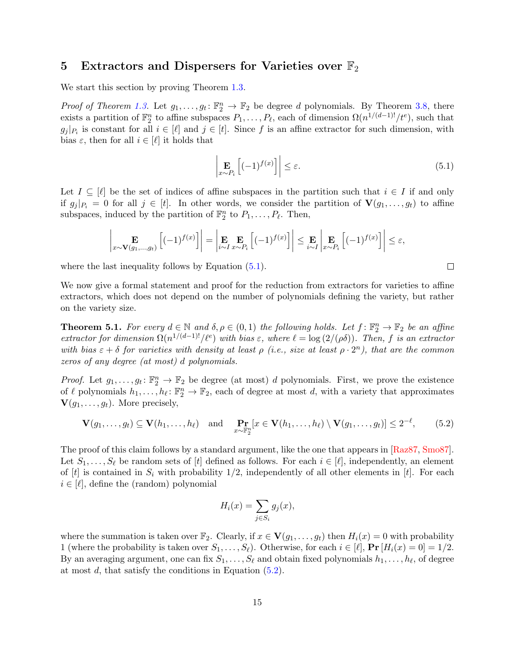## <span id="page-16-0"></span>5 Extractors and Dispersers for Varieties over  $\mathbb{F}_2$

We start this section by proving Theorem [1.3.](#page-4-0)

*Proof of Theorem [1.3.](#page-4-0)* Let  $g_1, \ldots, g_t: \mathbb{F}_2^n \to \mathbb{F}_2$  be degree d polynomials. By Theorem [3.8,](#page-13-2) there exists a partition of  $\mathbb{F}_2^n$  to affine subspaces  $P_1, \ldots, P_\ell$ , each of dimension  $\Omega(n^{1/(d-1)!}/t^e)$ , such that  $g_j |_{P_i}$  is constant for all  $i \in [\ell]$  and  $j \in [t]$ . Since f is an affine extractor for such dimension, with bias  $\varepsilon$ , then for all  $i \in [\ell]$  it holds that

<span id="page-16-2"></span>
$$
\left| \mathop{\mathbf{E}}_{x \sim P_i} \left[ (-1)^{f(x)} \right] \right| \le \varepsilon. \tag{5.1}
$$

Let  $I \subseteq [\ell]$  be the set of indices of affine subspaces in the partition such that  $i \in I$  if and only if  $g_i |_{P_i} = 0$  for all  $j \in [t]$ . In other words, we consider the partition of  $\mathbf{V}(g_1, \ldots, g_t)$  to affine subspaces, induced by the partition of  $\mathbb{F}_2^n$  to  $P_1, \ldots, P_\ell$ . Then,

$$
\left|\mathop{\mathbf{E}}_{x \sim \mathbf{V}(g_1,\ldots,g_t)} \left[(-1)^{f(x)}\right]\right| = \left|\mathop{\mathbf{E}}_{i \sim I} \mathop{\mathbf{E}}_{x \sim P_i} \left[(-1)^{f(x)}\right]\right| \leq \mathop{\mathbf{E}}_{i \sim I} \left|\mathop{\mathbf{E}}_{x \sim P_i} \left[(-1)^{f(x)}\right]\right| \leq \varepsilon,
$$

where the last inequality follows by Equation  $(5.1)$ .

We now give a formal statement and proof for the reduction from extractors for varieties to affine extractors, which does not depend on the number of polynomials defining the variety, but rather on the variety size.

<span id="page-16-1"></span>**Theorem 5.1.** For every  $d \in \mathbb{N}$  and  $\delta, \rho \in (0, 1)$  the following holds. Let  $f: \mathbb{F}_2^n \to \mathbb{F}_2$  be an affine extractor for dimension  $\Omega(n^{1/(d-1)l}/\ell^e)$  with bias  $\varepsilon$ , where  $\ell = \log(2/(\rho\delta))$ . Then, f is an extractor with bias  $\varepsilon + \delta$  for varieties with density at least  $\rho$  (i.e., size at least  $\rho \cdot 2^n$ ), that are the common zeros of any degree (at most) d polynomials.

*Proof.* Let  $g_1, \ldots, g_t: \mathbb{F}_2^n \to \mathbb{F}_2$  be degree (at most) d polynomials. First, we prove the existence of  $\ell$  polynomials  $h_1, \ldots, h_\ell : \mathbb{F}_2^n \to \mathbb{F}_2$ , each of degree at most d, with a variety that approximates  $\mathbf{V}(g_1, \ldots, g_t)$ . More precisely,

<span id="page-16-3"></span>
$$
\mathbf{V}(g_1,\ldots,g_t) \subseteq \mathbf{V}(h_1,\ldots,h_\ell) \quad \text{and} \quad \Pr_{x \sim \mathbb{F}_2^n}[x \in \mathbf{V}(h_1,\ldots,h_\ell) \setminus \mathbf{V}(g_1,\ldots,g_t)] \le 2^{-\ell},\tag{5.2}
$$

The proof of this claim follows by a standard argument, like the one that appears in [\[Raz87,](#page-21-13) [Smo87\]](#page-21-14). Let  $S_1, \ldots, S_\ell$  be random sets of [t] defined as follows. For each  $i \in [\ell]$ , independently, an element of  $[t]$  is contained in  $S_i$  with probability 1/2, independently of all other elements in  $[t]$ . For each  $i \in [\ell],$  define the (random) polynomial

$$
H_i(x) = \sum_{j \in S_i} g_j(x),
$$

where the summation is taken over  $\mathbb{F}_2$ . Clearly, if  $x \in \mathbf{V}(g_1, \ldots, g_t)$  then  $H_i(x) = 0$  with probability 1 (where the probability is taken over  $S_1, \ldots, S_\ell$ ). Otherwise, for each  $i \in [\ell], \Pr[H_i(x) = 0] = 1/2$ . By an averaging argument, one can fix  $S_1, \ldots, S_\ell$  and obtain fixed polynomials  $h_1, \ldots, h_\ell$ , of degree at most d, that satisfy the conditions in Equation [\(5.2\)](#page-16-3).

 $\Box$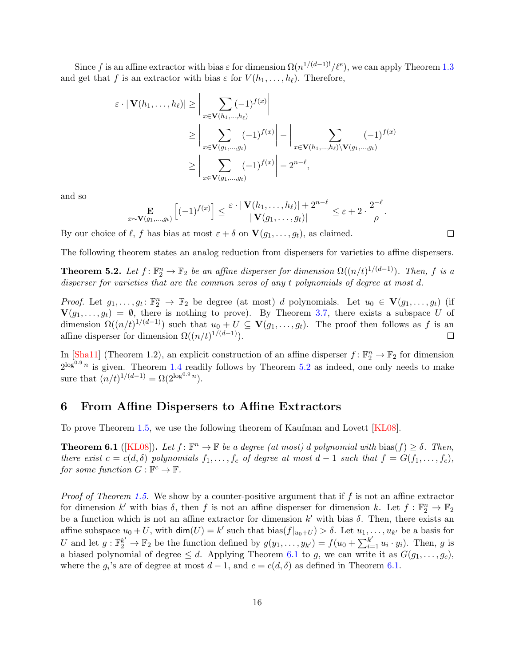Since f is an affine extractor with bias  $\varepsilon$  for dimension  $\Omega(n^{1/(d-1)!}/\ell^e)$ , we can apply Theorem [1.3](#page-4-0) and get that f is an extractor with bias  $\varepsilon$  for  $V(h_1, \ldots, h_\ell)$ . Therefore,

$$
\varepsilon \cdot |\mathbf{V}(h_1,\ldots,h_\ell)| \geq \left| \sum_{x \in \mathbf{V}(h_1,\ldots,h_\ell)} (-1)^{f(x)} \right|
$$
  
\n
$$
\geq \left| \sum_{x \in \mathbf{V}(g_1,\ldots,g_t)} (-1)^{f(x)} \right| - \left| \sum_{x \in \mathbf{V}(h_1,\ldots,h_\ell) \setminus \mathbf{V}(g_1,\ldots,g_t)} (-1)^{f(x)} \right|
$$
  
\n
$$
\geq \left| \sum_{x \in \mathbf{V}(g_1,\ldots,g_t)} (-1)^{f(x)} \right| - 2^{n-\ell},
$$

and so

$$
\mathop{\mathbf{E}}_{x \sim \mathbf{V}(g_1,\ldots,g_t)} \left[ (-1)^{f(x)} \right] \le \frac{\varepsilon \cdot |\mathbf{V}(h_1,\ldots,h_\ell)| + 2^{n-\ell}}{|\mathbf{V}(g_1,\ldots,g_t)|} \le \varepsilon + 2 \cdot \frac{2^{-\ell}}{\rho}
$$

By our choice of  $\ell$ , f has bias at most  $\varepsilon + \delta$  on  $\mathbf{V}(g_1, \ldots, g_t)$ , as claimed.

The following theorem states an analog reduction from dispersers for varieties to affine dispersers.

<span id="page-17-1"></span>**Theorem 5.2.** Let  $f: \mathbb{F}_2^n \to \mathbb{F}_2$  be an affine disperser for dimension  $\Omega((n/t)^{1/(d-1)})$ . Then, f is a disperser for varieties that are the common zeros of any t polynomials of degree at most d.

*Proof.* Let  $g_1, \ldots, g_t: \mathbb{F}_2^n \to \mathbb{F}_2$  be degree (at most) d polynomials. Let  $u_0 \in \mathbf{V}(g_1, \ldots, g_t)$  (if  $\mathbf{V}(g_1,\ldots,g_t) = \emptyset$ , there is nothing to prove). By Theorem [3.7,](#page-12-2) there exists a subspace U of dimension  $\Omega((n/t)^{1/(d-1)})$  such that  $u_0+U \subseteq V(g_1,\ldots,g_t)$ . The proof then follows as f is an affine disperser for dimension  $\Omega((n/t)^{1/(d-1)})$ .  $\Box$ 

In [\[Sha11\]](#page-21-5) (Theorem 1.2), an explicit construction of an affine disperser  $f: \mathbb{F}_2^n \to \mathbb{F}_2$  for dimension  $2^{\log^{0.9} n}$  is given. Theorem [1.4](#page-4-2) readily follows by Theorem [5.2](#page-17-1) as indeed, one only needs to make sure that  $(n/t)^{1/(d-1)} = \Omega(2^{\log^{0.9} n}).$ 

## <span id="page-17-0"></span>6 From Affine Dispersers to Affine Extractors

To prove Theorem [1.5,](#page-5-0) we use the following theorem of Kaufman and Lovett [\[KL08\]](#page-21-6).

<span id="page-17-2"></span>**Theorem 6.1** ([\[KL08\]](#page-21-6)). Let  $f: \mathbb{F}^n \to \mathbb{F}$  be a degree (at most) d polynomial with bias( $f$ )  $\geq \delta$ . Then, there exist  $c = c(d, \delta)$  polynomials  $f_1, \ldots, f_c$  of degree at most  $d-1$  such that  $f = G(f_1, \ldots, f_c)$ , for some function  $G : \mathbb{F}^c \to \mathbb{F}$ .

*Proof of Theorem [1.5.](#page-5-0)* We show by a counter-positive argument that if f is not an affine extractor for dimension k' with bias  $\delta$ , then f is not an affine disperser for dimension k. Let  $f : \mathbb{F}_2^n \to \mathbb{F}_2$ be a function which is not an affine extractor for dimension  $k'$  with bias  $\delta$ . Then, there exists an affine subspace  $u_0 + U$ , with  $\dim(U) = k'$  such that  $\text{bias}(f|_{u_0+U}) > \delta$ . Let  $u_1, \ldots, u_{k'}$  be a basis for U and let  $g: \mathbb{F}_2^{k'} \to \mathbb{F}_2$  be the function defined by  $g(y_1, \ldots, y_{k'}) = f(u_0 + \sum_{i=1}^{k'} u_i \cdot y_i)$ . Then, g is a biased polynomial of degree  $\leq d$ . Applying Theorem [6.1](#page-17-2) to g, we can write it as  $G(g_1, \ldots, g_c)$ , where the  $g_i$ 's are of degree at most  $d-1$ , and  $c = c(d, \delta)$  as defined in Theorem [6.1.](#page-17-2)

 $\Box$ 

.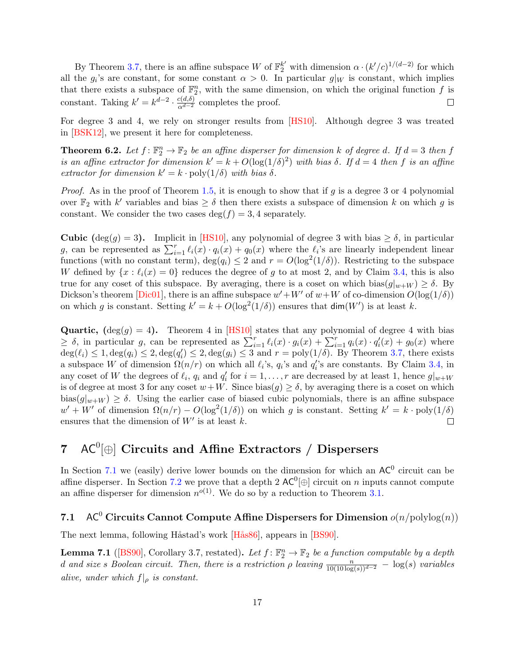By Theorem [3.7,](#page-12-2) there is an affine subspace W of  $\mathbb{F}_2^{k'}$  with dimension  $\alpha \cdot (k'/c)^{1/(d-2)}$  for which all the  $g_i$ 's are constant, for some constant  $\alpha > 0$ . In particular  $g|_W$  is constant, which implies that there exists a subspace of  $\mathbb{F}_2^n$ , with the same dimension, on which the original function f is constant. Taking  $k' = k^{d-2} \cdot \frac{c(d,\delta)}{\alpha^{d-2}}$  completes the proof.  $\Box$ 

For degree 3 and 4, we rely on stronger results from [\[HS10\]](#page-21-3). Although degree 3 was treated in [\[BSK12\]](#page-20-2), we present it here for completeness.

<span id="page-18-2"></span>**Theorem 6.2.** Let  $f: \mathbb{F}_2^n \to \mathbb{F}_2$  be an affine disperser for dimension k of degree d. If  $d = 3$  then f is an affine extractor for dimension  $k' = k + O(\log(1/\delta)^2)$  with bias  $\delta$ . If  $d = 4$  then f is an affine extractor for dimension  $k' = k \cdot \text{poly}(1/\delta)$  with bias  $\delta$ .

*Proof.* As in the proof of Theorem [1.5,](#page-5-0) it is enough to show that if g is a degree 3 or 4 polynomial over  $\mathbb{F}_2$  with k' variables and bias  $\geq \delta$  then there exists a subspace of dimension k on which g is constant. We consider the two cases deg( $f$ ) = 3, 4 separately.

**Cubic** (deg(g) = 3). Implicit in [\[HS10\]](#page-21-3), any polynomial of degree 3 with bias  $\geq \delta$ , in particular g, can be represented as  $\sum_{i=1}^r \ell_i(x) \cdot q_i(x) + q_0(x)$  where the  $\ell_i$ 's are linearly independent linear functions (with no constant term),  $\deg(q_i) \leq 2$  and  $r = O(\log^2(1/\delta))$ . Restricting to the subspace W defined by  $\{x : \ell_i(x) = 0\}$  reduces the degree of g to at most 2, and by Claim [3.4,](#page-11-1) this is also true for any coset of this subspace. By averaging, there is a coset on which bias $(g|_{w+W}) \ge \delta$ . By Dickson's theorem [\[Dic01\]](#page-21-1), there is an affine subspace  $w' + W'$  of  $w + W$  of co-dimension  $O(\log(1/\delta))$ on which g is constant. Setting  $k' = k + O(\log^2(1/\delta))$  ensures that  $\dim(W')$  is at least k.

**Quartic,**  $(\deg(q) = 4)$ . Theorem 4 in [\[HS10\]](#page-21-3) states that any polynomial of degree 4 with bias  $\geq \delta$ , in particular g, can be represented as  $\sum_{i=1}^r \ell_i(x) \cdot g_i(x) + \sum_{i=1}^r q_i(x) \cdot q'_i(x) + g_0(x)$  where  $deg(\ell_i) \leq 1, deg(q_i) \leq 2, deg(q_i) \leq 2, deg(g_i) \leq 3$  and  $r = poly(1/\delta)$ . By Theorem [3.7,](#page-12-2) there exists a subspace W of dimension  $\Omega(n/r)$  on which all  $\ell_i$ 's,  $q_i$ 's and  $q_i$ 's are constants. By Claim [3.4,](#page-11-1) in any coset of W the degrees of  $\ell_i$ ,  $q_i$  and  $q'_i$  for  $i = 1, \ldots, r$  are decreased by at least 1, hence  $g|_{w+W}$ is of degree at most 3 for any coset  $w+W$ . Since bias $(g) \ge \delta$ , by averaging there is a coset on which bias $(g|_{w+W}) \ge \delta$ . Using the earlier case of biased cubic polynomials, there is an affine subspace  $w' + W'$  of dimension  $\Omega(n/r) - O(\log^2(1/\delta))$  on which g is constant. Setting  $k' = k \cdot \text{poly}(1/\delta)$ ensures that the dimension of  $W'$  is at least k.  $\Box$ 

## <span id="page-18-0"></span>7  $AC^0[\oplus]$  Circuits and Affine Extractors / Dispersers

In Section [7.1](#page-18-1) we (easily) derive lower bounds on the dimension for which an  $AC^0$  circuit can be affine disperser. In Section [7.2](#page-19-0) we prove that a depth 2  $AC^0[\oplus]$  circuit on n inputs cannot compute an affine disperser for dimension  $n^{o(1)}$ . We do so by a reduction to Theorem [3.1.](#page-9-2)

## <span id="page-18-1"></span>7.1 AC<sup>0</sup> Circuits Cannot Compute Affine Dispersers for Dimension  $o(n/\text{polylog}(n))$

The next lemma, following Håstad's work [Hås86], appears in [\[BS90\]](#page-20-7).

<span id="page-18-3"></span>**Lemma 7.1** ([\[BS90\]](#page-20-7), Corollary 3.7, restated). Let  $f: \mathbb{F}_2^n \to \mathbb{F}_2$  be a function computable by a depth d and size s Boolean circuit. Then, there is a restriction  $\rho$  leaving  $\frac{n}{10(10 \log(s))^{d-2}} - \log(s)$  variables alive, under which  $f|_{\rho}$  is constant.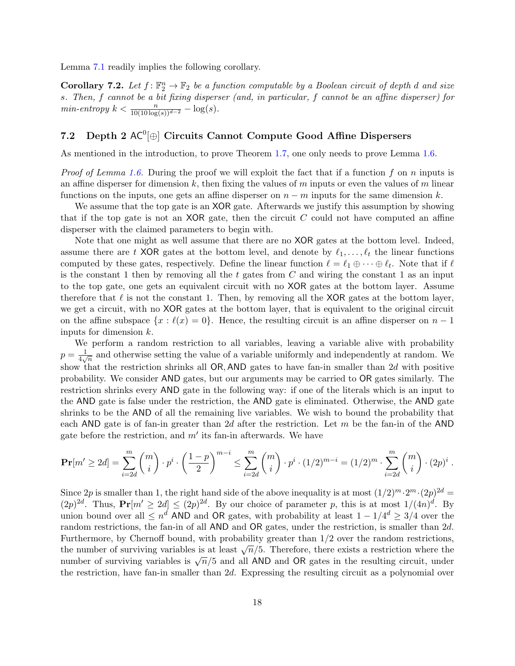Lemma [7.1](#page-18-3) readily implies the following corollary.

<span id="page-19-1"></span>**Corollary 7.2.** Let  $f: \mathbb{F}_2^n \to \mathbb{F}_2$  be a function computable by a Boolean circuit of depth d and size s. Then, f cannot be a bit fixing disperser (and, in particular, f cannot be an affine disperser) for  $min\text{-}entropy \; k < \frac{n}{10(10\log(s))^{d-2}} - \log(s).$ 

## <span id="page-19-0"></span>7.2 Depth 2  $AC^0[\oplus]$  Circuits Cannot Compute Good Affine Dispersers

As mentioned in the introduction, to prove Theorem [1.7,](#page-6-0) one only needs to prove Lemma [1.6.](#page-5-2)

*Proof of Lemma [1.6.](#page-5-2)* During the proof we will exploit the fact that if a function f on n inputs is an affine disperser for dimension k, then fixing the values of  $m$  inputs or even the values of  $m$  linear functions on the inputs, one gets an affine disperser on  $n - m$  inputs for the same dimension k.

We assume that the top gate is an XOR gate. Afterwards we justify this assumption by showing that if the top gate is not an  $XOR$  gate, then the circuit C could not have computed an affine disperser with the claimed parameters to begin with.

Note that one might as well assume that there are no XOR gates at the bottom level. Indeed, assume there are t XOR gates at the bottom level, and denote by  $\ell_1, \ldots, \ell_t$  the linear functions computed by these gates, respectively. Define the linear function  $\ell = \ell_1 \oplus \cdots \oplus \ell_t$ . Note that if  $\ell$ is the constant 1 then by removing all the t gates from  $C$  and wiring the constant 1 as an input to the top gate, one gets an equivalent circuit with no XOR gates at the bottom layer. Assume therefore that  $\ell$  is not the constant 1. Then, by removing all the XOR gates at the bottom layer, we get a circuit, with no XOR gates at the bottom layer, that is equivalent to the original circuit on the affine subspace  $\{x : \ell(x) = 0\}$ . Hence, the resulting circuit is an affine disperser on  $n - 1$ inputs for dimension k.

We perform a random restriction to all variables, leaving a variable alive with probability  $p = \frac{1}{4}$  $\frac{1}{4\sqrt{n}}$  and otherwise setting the value of a variable uniformly and independently at random. We show that the restriction shrinks all OR, AND gates to have fan-in smaller than  $2d$  with positive probability. We consider AND gates, but our arguments may be carried to OR gates similarly. The restriction shrinks every AND gate in the following way: if one of the literals which is an input to the AND gate is false under the restriction, the AND gate is eliminated. Otherwise, the AND gate shrinks to be the AND of all the remaining live variables. We wish to bound the probability that each AND gate is of fan-in greater than 2d after the restriction. Let m be the fan-in of the AND gate before the restriction, and  $m'$  its fan-in afterwards. We have

$$
\Pr[m' \ge 2d] = \sum_{i=2d}^{m} {m \choose i} \cdot p^i \cdot \left(\frac{1-p}{2}\right)^{m-i} \le \sum_{i=2d}^{m} {m \choose i} \cdot p^i \cdot (1/2)^{m-i} = (1/2)^m \cdot \sum_{i=2d}^{m} {m \choose i} \cdot (2p)^i.
$$

Since 2p is smaller than 1, the right hand side of the above inequality is at most  $(1/2)^m \cdot 2^m \cdot (2p)^{2d} =$  $(2p)^{2d}$ . Thus,  $Pr[m' \geq 2d] \leq (2p)^{2d}$ . By our choice of parameter p, this is at most  $1/(4n)^d$ . By union bound over all  $\leq n^d$  AND and OR gates, with probability at least  $1 - 1/4^d \geq 3/4$  over the random restrictions, the fan-in of all AND and OR gates, under the restriction, is smaller than 2d. Furthermore, by Chernoff bound, with probability greater than 1/2 over the random restrictions, Turnermore, by Chernon bound, with probability greater than  $1/2$  over the random restrictions,<br>the number of surviving variables is at least  $\sqrt{n}/5$ . Therefore, there exists a restriction where the number of surviving variables is at least  $\sqrt{n}/5$ . Therefore, there exists a restriction where the number of surviving variables is  $\sqrt{n}/5$  and all AND and OR gates in the resulting circuit, under the restriction, have fan-in smaller than 2d. Expressing the resulting circuit as a polynomial over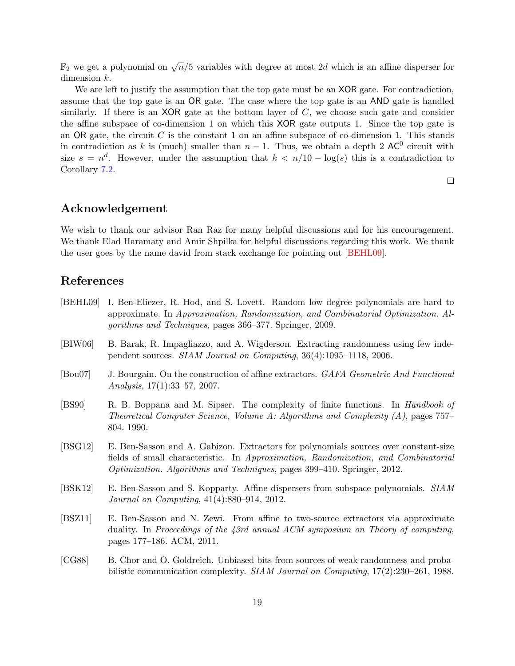$\mathbb{F}_2$  we get a polynomial on  $\sqrt{n}/5$  variables with degree at most  $2d$  which is an affine disperser for dimension k.

We are left to justify the assumption that the top gate must be an **XOR** gate. For contradiction, assume that the top gate is an OR gate. The case where the top gate is an AND gate is handled similarly. If there is an  $XOR$  gate at the bottom layer of C, we choose such gate and consider the affine subspace of co-dimension 1 on which this XOR gate outputs 1. Since the top gate is an OR gate, the circuit C is the constant 1 on an affine subspace of co-dimension 1. This stands in contradiction as k is (much) smaller than  $n-1$ . Thus, we obtain a depth 2 AC<sup>0</sup> circuit with size  $s = n<sup>d</sup>$ . However, under the assumption that  $k < n/10 - \log(s)$  this is a contradiction to Corollary [7.2.](#page-19-1)

 $\Box$ 

## Acknowledgement

We wish to thank our advisor Ran Raz for many helpful discussions and for his encouragement. We thank Elad Haramaty and Amir Shpilka for helpful discussions regarding this work. We thank the user goes by the name david from stack exchange for pointing out [\[BEHL09\]](#page-20-5).

## References

- <span id="page-20-5"></span>[BEHL09] I. Ben-Eliezer, R. Hod, and S. Lovett. Random low degree polynomials are hard to approximate. In Approximation, Randomization, and Combinatorial Optimization. Algorithms and Techniques, pages 366–377. Springer, 2009.
- <span id="page-20-4"></span>[BIW06] B. Barak, R. Impagliazzo, and A. Wigderson. Extracting randomness using few independent sources. SIAM Journal on Computing, 36(4):1095–1118, 2006.
- <span id="page-20-0"></span>[Bou07] J. Bourgain. On the construction of affine extractors. GAFA Geometric And Functional Analysis, 17(1):33–57, 2007.
- <span id="page-20-7"></span>[BS90] R. B. Boppana and M. Sipser. The complexity of finite functions. In Handbook of Theoretical Computer Science, Volume A: Algorithms and Complexity  $(A)$ , pages 757– 804. 1990.
- <span id="page-20-1"></span>[BSG12] E. Ben-Sasson and A. Gabizon. Extractors for polynomials sources over constant-size fields of small characteristic. In Approximation, Randomization, and Combinatorial Optimization. Algorithms and Techniques, pages 399–410. Springer, 2012.
- <span id="page-20-2"></span>[BSK12] E. Ben-Sasson and S. Kopparty. Affine dispersers from subspace polynomials. SIAM Journal on Computing, 41(4):880–914, 2012.
- <span id="page-20-6"></span>[BSZ11] E. Ben-Sasson and N. Zewi. From affine to two-source extractors via approximate duality. In Proceedings of the 43rd annual ACM symposium on Theory of computing, pages 177–186. ACM, 2011.
- <span id="page-20-3"></span>[CG88] B. Chor and O. Goldreich. Unbiased bits from sources of weak randomness and probabilistic communication complexity. SIAM Journal on Computing, 17(2):230–261, 1988.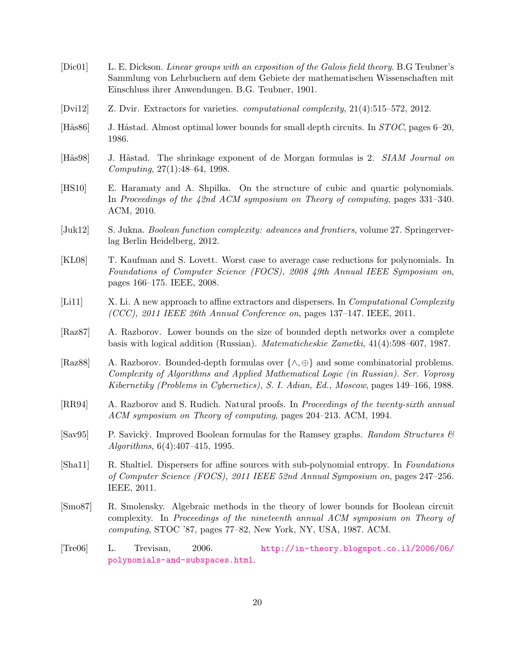- <span id="page-21-1"></span>[Dic01] L. E. Dickson. Linear groups with an exposition of the Galois field theory. B.G Teubner's Sammlung von Lehrbuchern auf dem Gebiete der mathematischen Wissenschaften mit Einschluss ihrer Anwendungen. B.G. Teubner, 1901.
- <span id="page-21-0"></span>[Dvi12] Z. Dvir. Extractors for varieties. computational complexity, 21(4):515–572, 2012.
- <span id="page-21-7"></span>[Hås86] J. Håstad. Almost optimal lower bounds for small depth circuits. In  $STOC$ , pages 6–20, 1986.
- <span id="page-21-8"></span>[Hås98] J. Håstad. The shrinkage exponent of de Morgan formulas is 2. SIAM Journal on Computing, 27(1):48–64, 1998.
- <span id="page-21-3"></span>[HS10] E. Haramaty and A. Shpilka. On the structure of cubic and quartic polynomials. In Proceedings of the 42nd ACM symposium on Theory of computing, pages 331–340. ACM, 2010.
- <span id="page-21-11"></span>[Juk12] S. Jukna. *Boolean function complexity: advances and frontiers*, volume 27. Springerverlag Berlin Heidelberg, 2012.
- <span id="page-21-6"></span>[KL08] T. Kaufman and S. Lovett. Worst case to average case reductions for polynomials. In Foundations of Computer Science (FOCS), 2008 49th Annual IEEE Symposium on, pages 166–175. IEEE, 2008.
- <span id="page-21-4"></span>[Li11] X. Li. A new approach to affine extractors and dispersers. In *Computational Complexity*  $(CCC)$ , 2011 IEEE 26th Annual Conference on, pages 137–147. IEEE, 2011.
- <span id="page-21-13"></span>[Raz87] A. Razborov. Lower bounds on the size of bounded depth networks over a complete basis with logical addition (Russian). Matematicheskie Zametki, 41(4):598–607, 1987.
- <span id="page-21-9"></span>[Raz88] A. Razborov. Bounded-depth formulas over {∧, ⊕} and some combinatorial problems. Complexity of Algorithms and Applied Mathematical Logic (in Russian). Ser. Voprosy Kibernetiky (Problems in Cybernetics), S. I. Adian, Ed., Moscow, pages 149–166, 1988.
- <span id="page-21-12"></span>[RR94] A. Razborov and S. Rudich. Natural proofs. In Proceedings of the twenty-sixth annual ACM symposium on Theory of computing, pages 204–213. ACM, 1994.
- <span id="page-21-10"></span>[Sav $95$ ] P. Savicky. Improved Boolean formulas for the Ramsey graphs. Random Structures  $\mathscr$ Algorithms, 6(4):407–415, 1995.
- <span id="page-21-5"></span>[Sha11] R. Shaltiel. Dispersers for affine sources with sub-polynomial entropy. In Foundations of Computer Science (FOCS), 2011 IEEE 52nd Annual Symposium on, pages 247–256. IEEE, 2011.
- <span id="page-21-14"></span>[Smo87] R. Smolensky. Algebraic methods in the theory of lower bounds for Boolean circuit complexity. In Proceedings of the nineteenth annual ACM symposium on Theory of computing, STOC '87, pages 77–82, New York, NY, USA, 1987. ACM.
- <span id="page-21-2"></span>[Tre06] L. Trevisan, 2006. [http://in-theory.blogspot.co.il/2006/06/](http://in-theory.blogspot.co.il/2006/06/polynomials-and-subspaces.html) [polynomials-and-subspaces.html](http://in-theory.blogspot.co.il/2006/06/polynomials-and-subspaces.html).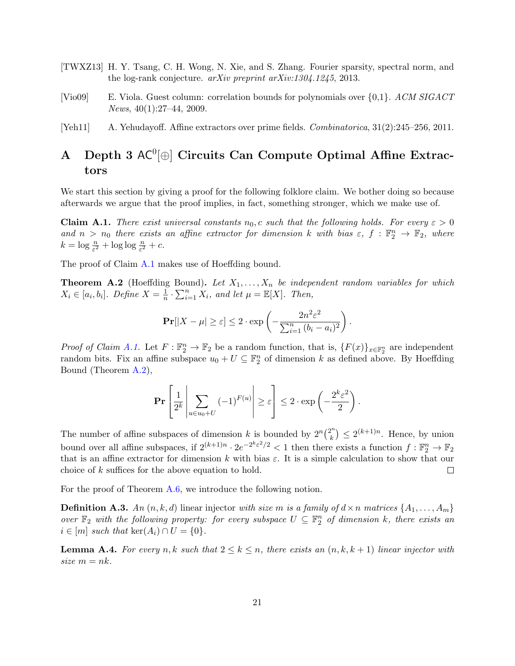- <span id="page-22-1"></span>[TWXZ13] H. Y. Tsang, C. H. Wong, N. Xie, and S. Zhang. Fourier sparsity, spectral norm, and the log-rank conjecture. arXiv preprint arXiv:1304.1245, 2013.
- <span id="page-22-4"></span>[Vio09] E. Viola. Guest column: correlation bounds for polynomials over {0,1}. ACM SIGACT News, 40(1):27–44, 2009.
- <span id="page-22-2"></span>[Yeh11] A. Yehudayoff. Affine extractors over prime fields. Combinatorica, 31(2):245–256, 2011.

## <span id="page-22-0"></span>A Depth 3  $AC^0[\oplus]$  Circuits Can Compute Optimal Affine Extractors

We start this section by giving a proof for the following folklore claim. We bother doing so because afterwards we argue that the proof implies, in fact, something stronger, which we make use of.

<span id="page-22-3"></span>**Claim A.1.** There exist universal constants  $n_0$ , c such that the following holds. For every  $\varepsilon > 0$ and  $n > n_0$  there exists an affine extractor for dimension k with bias  $\varepsilon$ ,  $f : \mathbb{F}_2^n \to \mathbb{F}_2$ , where  $k = \log \frac{n}{\varepsilon^2} + \log \log \frac{n}{\varepsilon^2} + c.$ 

The proof of Claim [A.1](#page-22-3) makes use of Hoeffding bound.

<span id="page-22-5"></span>**Theorem A.2** (Hoeffding Bound). Let  $X_1, \ldots, X_n$  be independent random variables for which  $X_i \in [a_i, b_i]$ . Define  $X = \frac{1}{n}$  $\frac{1}{n} \cdot \sum_{i=1}^{n} X_i$ , and let  $\mu = \mathbb{E}[X]$ . Then,

$$
\mathbf{Pr}[|X - \mu| \ge \varepsilon] \le 2 \cdot \exp\left(-\frac{2n^2\varepsilon^2}{\sum_{i=1}^n (b_i - a_i)^2}\right).
$$

*Proof of Claim [A.1.](#page-22-3)* Let  $F: \mathbb{F}_2^n \to \mathbb{F}_2$  be a random function, that is,  $\{F(x)\}_{x \in \mathbb{F}_2^n}$  are independent random bits. Fix an affine subspace  $u_0 + U \subseteq \mathbb{F}_2^n$  of dimension k as defined above. By Hoeffding Bound (Theorem [A.2\)](#page-22-5),

$$
\Pr\left[\frac{1}{2^k}\left|\sum_{u\in u_0+U}(-1)^{F(u)}\right|\geq \varepsilon\right]\leq 2\cdot \exp\left(-\frac{2^k\varepsilon^2}{2}\right).
$$

The number of affine subspaces of dimension k is bounded by  $2^n {2^n \choose k}$  $\binom{n}{k} \leq 2^{(k+1)n}$ . Hence, by union bound over all affine subspaces, if  $2^{(k+1)n} \cdot 2e^{-2^k \varepsilon^2/2} < 1$  then there exists a function  $f : \mathbb{F}_2^n \to \mathbb{F}_2$ that is an affine extractor for dimension k with bias  $\varepsilon$ . It is a simple calculation to show that our choice of k suffices for the above equation to hold.  $\Box$ 

For the proof of Theorem [A.6,](#page-23-0) we introduce the following notion.

**Definition A.3.** An  $(n, k, d)$  linear injector with size m is a family of  $d \times n$  matrices  $\{A_1, \ldots, A_m\}$ over  $\mathbb{F}_2$  with the following property: for every subspace  $U \subseteq \mathbb{F}_2^n$  of dimension k, there exists an  $i \in [m]$  such that ker $(A_i) \cap U = \{0\}.$ 

<span id="page-22-6"></span>**Lemma A.4.** For every n, k such that  $2 \leq k \leq n$ , there exists an  $(n, k, k + 1)$  linear injector with size  $m = nk$ .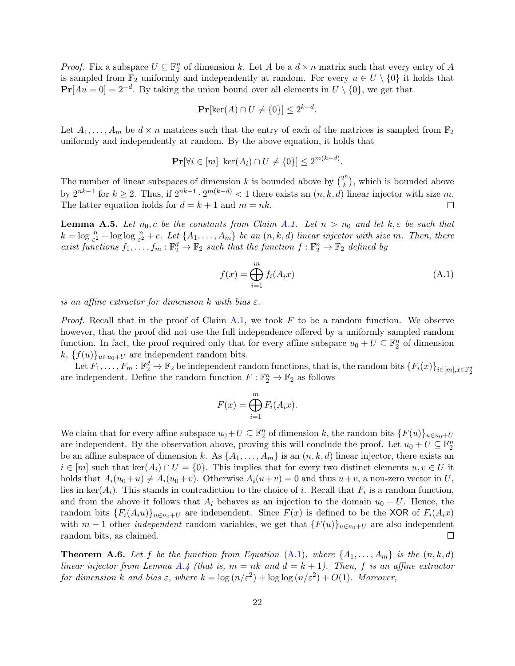*Proof.* Fix a subspace  $U \subseteq \mathbb{F}_2^n$  of dimension k. Let A be a  $d \times n$  matrix such that every entry of A is sampled from  $\mathbb{F}_2$  uniformly and independently at random. For every  $u \in U \setminus \{0\}$  it holds that  $\Pr[Au=0] = 2^{-d}$ . By taking the union bound over all elements in  $U \setminus \{0\}$ , we get that

$$
\mathbf{Pr}[\ker(A) \cap U \neq \{0\}] \le 2^{k-d}.
$$

Let  $A_1, \ldots, A_m$  be  $d \times n$  matrices such that the entry of each of the matrices is sampled from  $\mathbb{F}_2$ uniformly and independently at random. By the above equation, it holds that

$$
\mathbf{Pr}[\forall i \in [m] \ \ker(A_i) \cap U \neq \{0\}] \le 2^{m(k-d)}
$$

The number of linear subspaces of dimension k is bounded above by  $\binom{2^n}{k}$  $\binom{n}{k}$ , which is bounded above by  $2^{nk-1}$  for  $k \geq 2$ . Thus, if  $2^{nk-1} \cdot 2^{m(k-d)} < 1$  there exists an  $(n, k, d)$  linear injector with size m. The latter equation holds for  $d = k + 1$  and  $m = nk$ .  $\Box$ 

**Lemma A.5.** Let  $n_0, c$  be the constants from Claim [A.1.](#page-22-3) Let  $n > n_0$  and let  $k, \varepsilon$  be such that  $k = \log \frac{n}{\varepsilon^2} + \log \log \frac{n}{\varepsilon^2} + c$ . Let  $\{A_1, \ldots, A_m\}$  be an  $(n, k, d)$  linear injector with size m. Then, there exist functions  $f_1, \ldots, f_m : \mathbb{F}_2^d \to \mathbb{F}_2$  such that the function  $f : \mathbb{F}_2^n \to \mathbb{F}_2$  defined by

<span id="page-23-1"></span>
$$
f(x) = \bigoplus_{i=1}^{m} f_i(A_i x) \tag{A.1}
$$

.

is an affine extractor for dimension k with bias  $\varepsilon$ .

*Proof.* Recall that in the proof of Claim [A.1,](#page-22-3) we took F to be a random function. We observe however, that the proof did not use the full independence offered by a uniformly sampled random function. In fact, the proof required only that for every affine subspace  $u_0 + U \subseteq \mathbb{F}_2^n$  of dimension k,  $\{f(u)\}_{u\in u_0+U}$  are independent random bits.

Let  $F_1, \ldots, F_m : \mathbb{F}_2^d \to \mathbb{F}_2$  be independent random functions, that is, the random bits  $\{F_i(x)\}_{i \in [m], x \in \mathbb{F}_2^d}$ are independent. Define the random function  $F: \mathbb{F}_2^n \to \mathbb{F}_2$  as follows

$$
F(x) = \bigoplus_{i=1}^{m} F_i(A_i x).
$$

We claim that for every affine subspace  $u_0+U \subseteq \mathbb{F}_2^n$  of dimension k, the random bits  $\{F(u)\}_{u\in u_0+U}$ are independent. By the observation above, proving this will conclude the proof. Let  $u_0 + U \subseteq \mathbb{F}_2^n$ be an affine subspace of dimension k. As  $\{A_1, \ldots, A_m\}$  is an  $(n, k, d)$  linear injector, there exists an  $i \in [m]$  such that ker $(A_i) \cap U = \{0\}$ . This implies that for every two distinct elements  $u, v \in U$  it holds that  $A_i(u_0+u) \neq A_i(u_0+v)$ . Otherwise  $A_i(u+v) = 0$  and thus  $u+v$ , a non-zero vector in U, lies in ker $(A_i)$ . This stands in contradiction to the choice of i. Recall that  $F_i$  is a random function, and from the above it follows that  $A_i$  behaves as an injection to the domain  $u_0 + U$ . Hence, the random bits  ${F_i(A_iu)}_{u\in u_0+U}$  are independent. Since  $F(x)$  is defined to be the XOR of  $F_i(A_ix)$ with  $m-1$  other *independent* random variables, we get that  $\{F(u)\}_{u\in u_0+U}$  are also independent random bits, as claimed.  $\Box$ 

<span id="page-23-0"></span>**Theorem A.6.** Let f be the function from Equation [\(A.1\)](#page-23-1), where  $\{A_1, \ldots, A_m\}$  is the  $(n, k, d)$ linear injector from Lemma [A.4](#page-22-6) (that is,  $m = nk$  and  $d = k + 1$ ). Then, f is an affine extractor for dimension k and bias  $\varepsilon$ , where  $k = \log(n/\varepsilon^2) + \log \log(n/\varepsilon^2) + O(1)$ . Moreover,